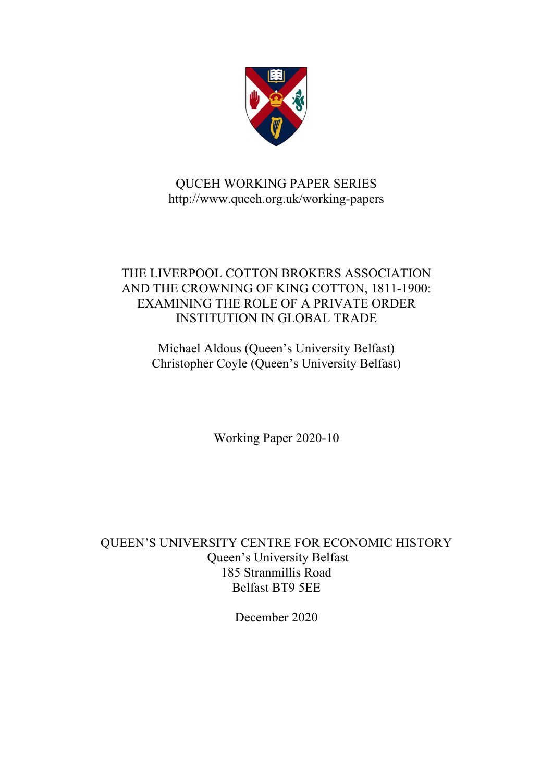

## QUCEH WORKING PAPER SERIES http://www.quceh.org.uk/working-papers

### THE LIVERPOOL COTTON BROKERS ASSOCIATION AND THE CROWNING OF KING COTTON, 1811-1900: EXAMINING THE ROLE OF A PRIVATE ORDER INSTITUTION IN GLOBAL TRADE

Michael Aldous (Queen's University Belfast) Christopher Coyle (Queen's University Belfast)

Working Paper 2020-10

QUEEN'S UNIVERSITY CENTRE FOR ECONOMIC HISTORY Queen's University Belfast 185 Stranmillis Road Belfast BT9 5EE

December 2020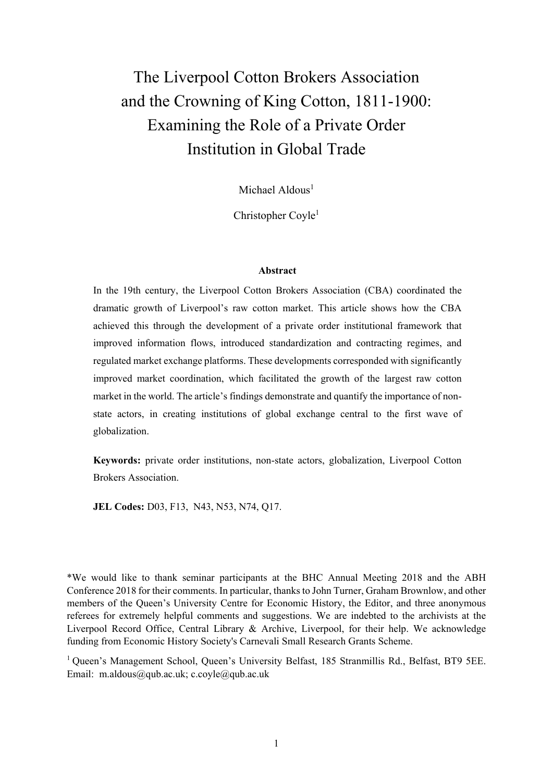# The Liverpool Cotton Brokers Association and the Crowning of King Cotton, 1811-1900: Examining the Role of a Private Order Institution in Global Trade

Michael Aldous<sup>1</sup>

Christopher Coyle<sup>1</sup>

#### **Abstract**

In the 19th century, the Liverpool Cotton Brokers Association (CBA) coordinated the dramatic growth of Liverpool's raw cotton market. This article shows how the CBA achieved this through the development of a private order institutional framework that improved information flows, introduced standardization and contracting regimes, and regulated market exchange platforms. These developments corresponded with significantly improved market coordination, which facilitated the growth of the largest raw cotton market in the world. The article's findings demonstrate and quantify the importance of nonstate actors, in creating institutions of global exchange central to the first wave of globalization.

**Keywords:** private order institutions, non-state actors, globalization, Liverpool Cotton Brokers Association.

**JEL Codes:** D03, F13, N43, N53, N74, Q17.

\*We would like to thank seminar participants at the BHC Annual Meeting 2018 and the ABH Conference 2018 for their comments. In particular, thanks to John Turner, Graham Brownlow, and other members of the Queen's University Centre for Economic History, the Editor, and three anonymous referees for extremely helpful comments and suggestions. We are indebted to the archivists at the Liverpool Record Office, Central Library & Archive, Liverpool, for their help. We acknowledge funding from Economic History Society's Carnevali Small Research Grants Scheme.

<sup>1</sup> Queen's Management School, Queen's University Belfast, 185 Stranmillis Rd., Belfast, BT9 5EE. Email: m.aldous@qub.ac.uk; c.coyle@qub.ac.uk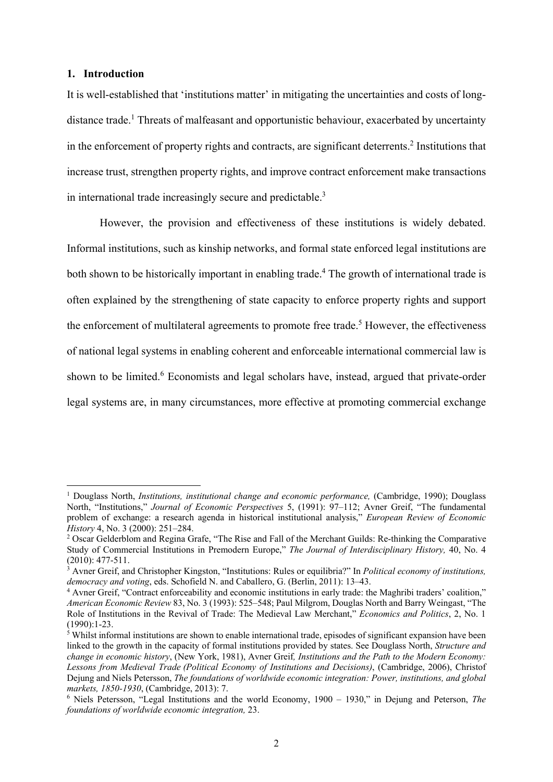### **1. Introduction**

1

It is well-established that 'institutions matter' in mitigating the uncertainties and costs of longdistance trade.<sup>1</sup> Threats of malfeasant and opportunistic behaviour, exacerbated by uncertainty in the enforcement of property rights and contracts, are significant deterrents.<sup>2</sup> Institutions that increase trust, strengthen property rights, and improve contract enforcement make transactions in international trade increasingly secure and predictable.<sup>3</sup>

However, the provision and effectiveness of these institutions is widely debated. Informal institutions, such as kinship networks, and formal state enforced legal institutions are both shown to be historically important in enabling trade.<sup>4</sup> The growth of international trade is often explained by the strengthening of state capacity to enforce property rights and support the enforcement of multilateral agreements to promote free trade.<sup>5</sup> However, the effectiveness of national legal systems in enabling coherent and enforceable international commercial law is shown to be limited.<sup>6</sup> Economists and legal scholars have, instead, argued that private-order legal systems are, in many circumstances, more effective at promoting commercial exchange

<sup>&</sup>lt;sup>1</sup> Douglass North, *Institutions, institutional change and economic performance*, (Cambridge, 1990); Douglass North, "Institutions," *Journal of Economic Perspectives* 5, (1991): 97–112; Avner Greif, "The fundamental problem of exchange: a research agenda in historical institutional analysis," *European Review of Economic History* 4, No. 3 (2000): 251-284.

<sup>&</sup>lt;sup>2</sup> Oscar Gelderblom and Regina Grafe, "The Rise and Fall of the Merchant Guilds: Re-thinking the Comparative Study of Commercial Institutions in Premodern Europe," *The Journal of Interdisciplinary History,* 40, No. 4 (2010): 477-511.

<sup>3</sup> Avner Greif, and Christopher Kingston, "Institutions: Rules or equilibria?" In *Political economy of institutions, democracy and voting*, eds. Schofield N. and Caballero, G. (Berlin, 2011): 13-43.

Avner Greif, "Contract enforceability and economic institutions in early trade: the Maghribi traders' coalition," *American Economic Review* 83, No. 3 (1993): 525–548; Paul Milgrom, Douglas North and Barry Weingast, "The Role of Institutions in the Revival of Trade: The Medieval Law Merchant," *Economics and Politics*, 2, No. 1 (1990):1-23.

<sup>&</sup>lt;sup>5</sup> Whilst informal institutions are shown to enable international trade, episodes of significant expansion have been linked to the growth in the capacity of formal institutions provided by states. See Douglass North, *Structure and change in economic history*, (New York, 1981), Avner Greif*, Institutions and the Path to the Modern Economy: Lessons from Medieval Trade (Political Economy of Institutions and Decisions)*, (Cambridge, 2006), Christof Dejung and Niels Petersson, *The foundations of worldwide economic integration: Power, institutions, and global markets, 1850-1930*, (Cambridge, 2013): 7. 6

Niels Petersson, "Legal Institutions and the world Economy, 1900 – 1930," in Dejung and Peterson, *The foundations of worldwide economic integration,* 23.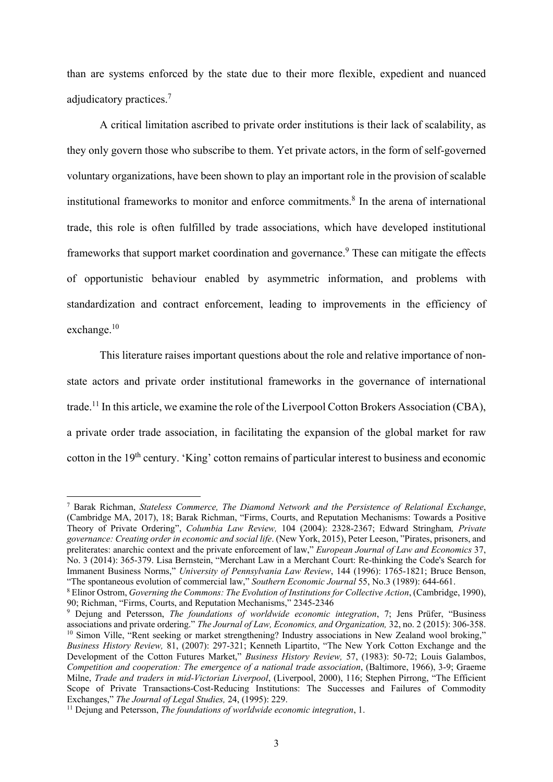than are systems enforced by the state due to their more flexible, expedient and nuanced adjudicatory practices.<sup>7</sup>

A critical limitation ascribed to private order institutions is their lack of scalability, as they only govern those who subscribe to them. Yet private actors, in the form of self-governed voluntary organizations, have been shown to play an important role in the provision of scalable institutional frameworks to monitor and enforce commitments.<sup>8</sup> In the arena of international trade, this role is often fulfilled by trade associations, which have developed institutional frameworks that support market coordination and governance.<sup>9</sup> These can mitigate the effects of opportunistic behaviour enabled by asymmetric information, and problems with standardization and contract enforcement, leading to improvements in the efficiency of exchange.10

This literature raises important questions about the role and relative importance of nonstate actors and private order institutional frameworks in the governance of international trade.11 In this article, we examine the role of the Liverpool Cotton Brokers Association (CBA), a private order trade association, in facilitating the expansion of the global market for raw cotton in the 19<sup>th</sup> century. 'King' cotton remains of particular interest to business and economic

<sup>7</sup> Barak Richman, *Stateless Commerce, The Diamond Network and the Persistence of Relational Exchange*, (Cambridge MA, 2017), 18; Barak Richman, "Firms, Courts, and Reputation Mechanisms: Towards a Positive Theory of Private Ordering", *Columbia Law Review,* 104 (2004): 2328-2367; Edward Stringham*, Private governance: Creating order in economic and social life*. (New York, 2015), Peter Leeson, "Pirates, prisoners, and preliterates: anarchic context and the private enforcement of law," *European Journal of Law and Economics* 37, No. 3 (2014): 365-379. Lisa Bernstein, "Merchant Law in a Merchant Court: Re-thinking the Code's Search for Immanent Business Norms," *University of Pennsylvania Law Review*, 144 (1996): 1765-1821; Bruce Benson, "The spontaneous evolution of commercial law," *Southern Economic Journal* 55, No.3 (1989): 644-661. 8

Elinor Ostrom, *Governing the Commons: The Evolution of Institutions for Collective Action*, (Cambridge, 1990), 90; Richman, "Firms, Courts, and Reputation Mechanisms," 2345-2346

<sup>9</sup> Dejung and Petersson, *The foundations of worldwide economic integration*, 7; Jens Prüfer, "Business associations and private ordering." The Journal of Law, Economics, and Organization, 32, no. 2 (2015): 306-358.<br><sup>10</sup> Simon Ville, "Rent seeking or market strengthening? Industry associations in New Zealand wool broking," *Business History Review,* 81, (2007): 297-321; Kenneth Lipartito, "The New York Cotton Exchange and the Development of the Cotton Futures Market," *Business History Review,* 57, (1983): 50-72; Louis Galambos, *Competition and cooperation: The emergence of a national trade association*, (Baltimore, 1966), 3-9; Graeme Milne, *Trade and traders in mid-Victorian Liverpool*, (Liverpool, 2000), 116; Stephen Pirrong, "The Efficient Scope of Private Transactions-Cost-Reducing Institutions: The Successes and Failures of Commodity Exchanges," *The Journal of Legal Studies,* 24, (1995): 229.<br><sup>11</sup> Dejung and Petersson, *The foundations of worldwide economic integration*, 1.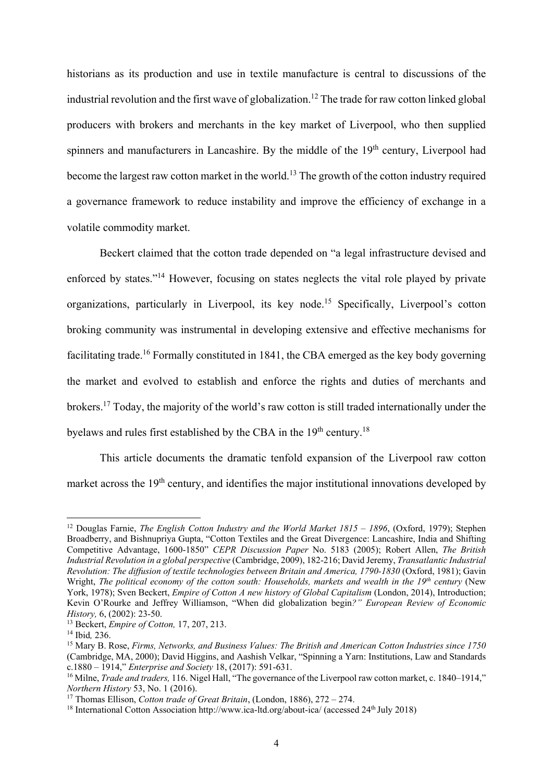historians as its production and use in textile manufacture is central to discussions of the industrial revolution and the first wave of globalization.<sup>12</sup> The trade for raw cotton linked global producers with brokers and merchants in the key market of Liverpool, who then supplied spinners and manufacturers in Lancashire. By the middle of the 19<sup>th</sup> century, Liverpool had become the largest raw cotton market in the world.<sup>13</sup> The growth of the cotton industry required a governance framework to reduce instability and improve the efficiency of exchange in a volatile commodity market.

Beckert claimed that the cotton trade depended on "a legal infrastructure devised and enforced by states."14 However, focusing on states neglects the vital role played by private organizations, particularly in Liverpool, its key node.15 Specifically, Liverpool's cotton broking community was instrumental in developing extensive and effective mechanisms for facilitating trade.<sup>16</sup> Formally constituted in 1841, the CBA emerged as the key body governing the market and evolved to establish and enforce the rights and duties of merchants and brokers.17 Today, the majority of the world's raw cotton is still traded internationally under the byelaws and rules first established by the CBA in the  $19<sup>th</sup>$  century.<sup>18</sup>

This article documents the dramatic tenfold expansion of the Liverpool raw cotton market across the 19<sup>th</sup> century, and identifies the major institutional innovations developed by

<sup>12</sup> Douglas Farnie, *The English Cotton Industry and the World Market 1815 – 1896*, (Oxford, 1979); Stephen Broadberry, and Bishnupriya Gupta, "Cotton Textiles and the Great Divergence: Lancashire, India and Shifting Competitive Advantage, 1600-1850" *CEPR Discussion Paper* No. 5183 (2005); Robert Allen, *The British Industrial Revolution in a global perspective* (Cambridge, 2009), 182-216; David Jeremy, *Transatlantic Industrial Revolution: The diffusion of textile technologies between Britain and America, 1790-1830* (Oxford, 1981); Gavin Wright, *The political economy of the cotton south: Households, markets and wealth in the 19<sup>th</sup> century (New* York, 1978); Sven Beckert, *Empire of Cotton A new history of Global Capitalism* (London, 2014), Introduction; Kevin O'Rourke and Jeffrey Williamson, "When did globalization begin*?" European Review of Economic History,* 6, (2002): 23-50.<br><sup>13</sup> Beckert, *Empire of Cotton*, 17, 207, 213.

<sup>&</sup>lt;sup>14</sup> Ibid, 236. <sup>16</sup><br><sup>15</sup> Mary B. Rose, *Firms, Networks, and Business Values: The British and American Cotton Industries since 1750* (Cambridge, MA, 2000); David Higgins, and Aashish Velkar, "Spinning a Yarn: Institutions, Law and Standards c.1880 – 1914," *Enterprise and Society* 18, (2017): 591-631. 16 Milne, *Trade and traders,* 116. Nigel Hall, "The governance of the Liverpool raw cotton market, c. 1840–1914,"

*Northern History* 53, No. 1 (2016).<br><sup>17</sup> Thomas Ellison, *Cotton trade of Great Britain*, (London, 1886), 272 – 274.<br><sup>18</sup> International Cotton Association http://www.ica-ltd.org/about-ica/ (accessed 24<sup>th</sup> July 2018)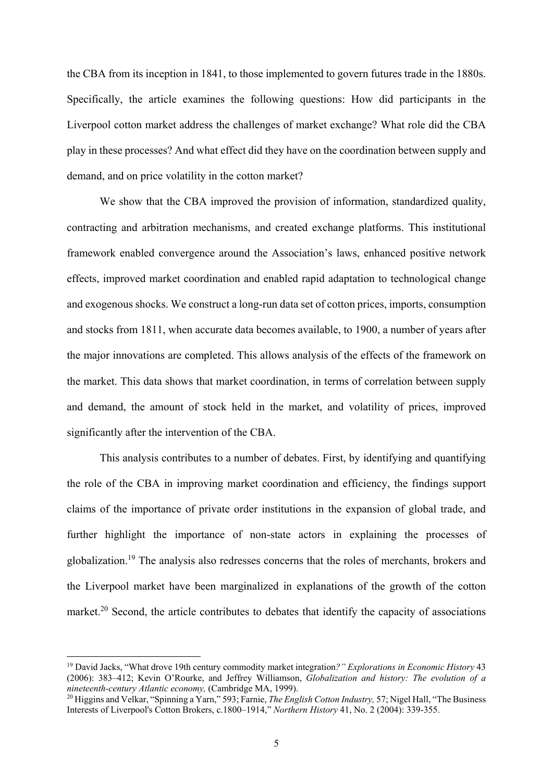the CBA from its inception in 1841, to those implemented to govern futures trade in the 1880s. Specifically, the article examines the following questions: How did participants in the Liverpool cotton market address the challenges of market exchange? What role did the CBA play in these processes? And what effect did they have on the coordination between supply and demand, and on price volatility in the cotton market?

We show that the CBA improved the provision of information, standardized quality, contracting and arbitration mechanisms, and created exchange platforms. This institutional framework enabled convergence around the Association's laws, enhanced positive network effects, improved market coordination and enabled rapid adaptation to technological change and exogenous shocks. We construct a long-run data set of cotton prices, imports, consumption and stocks from 1811, when accurate data becomes available, to 1900, a number of years after the major innovations are completed. This allows analysis of the effects of the framework on the market. This data shows that market coordination, in terms of correlation between supply and demand, the amount of stock held in the market, and volatility of prices, improved significantly after the intervention of the CBA.

This analysis contributes to a number of debates. First, by identifying and quantifying the role of the CBA in improving market coordination and efficiency, the findings support claims of the importance of private order institutions in the expansion of global trade, and further highlight the importance of non-state actors in explaining the processes of globalization.19 The analysis also redresses concerns that the roles of merchants, brokers and the Liverpool market have been marginalized in explanations of the growth of the cotton market.<sup>20</sup> Second, the article contributes to debates that identify the capacity of associations

<sup>19</sup> David Jacks, "What drove 19th century commodity market integration*?" Explorations in Economic History* 43 (2006): 383–412; Kevin O'Rourke, and Jeffrey Williamson, *Globalization and history: The evolution of a* 

<sup>&</sup>lt;sup>20</sup> Higgins and Velkar, "Spinning a Yarn," 593; Farnie, *The English Cotton Industry*, 57; Nigel Hall, "The Business Interests of Liverpool's Cotton Brokers, c.1800–1914," *Northern History* 41, No. 2 (2004): 339-355.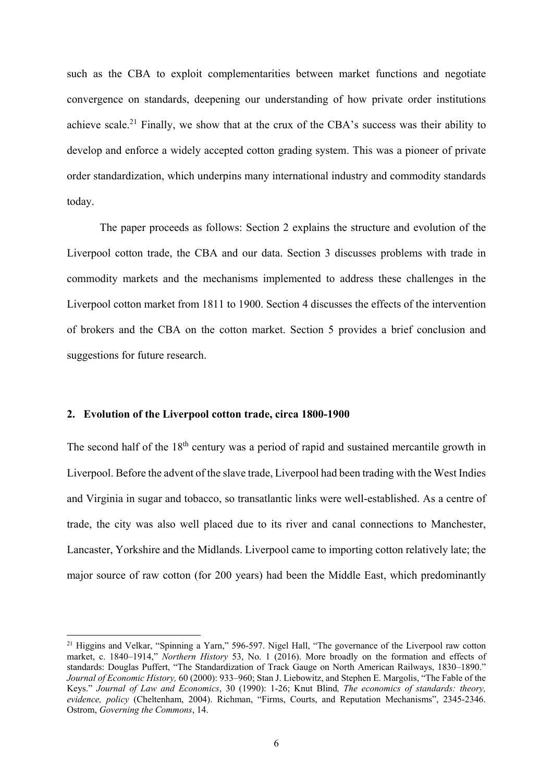such as the CBA to exploit complementarities between market functions and negotiate convergence on standards, deepening our understanding of how private order institutions achieve scale.<sup>21</sup> Finally, we show that at the crux of the CBA's success was their ability to develop and enforce a widely accepted cotton grading system. This was a pioneer of private order standardization, which underpins many international industry and commodity standards today.

The paper proceeds as follows: Section 2 explains the structure and evolution of the Liverpool cotton trade, the CBA and our data. Section 3 discusses problems with trade in commodity markets and the mechanisms implemented to address these challenges in the Liverpool cotton market from 1811 to 1900. Section 4 discusses the effects of the intervention of brokers and the CBA on the cotton market. Section 5 provides a brief conclusion and suggestions for future research.

### **2. Evolution of the Liverpool cotton trade, circa 1800-1900**

**.** 

The second half of the 18<sup>th</sup> century was a period of rapid and sustained mercantile growth in Liverpool. Before the advent of the slave trade, Liverpool had been trading with the West Indies and Virginia in sugar and tobacco, so transatlantic links were well-established. As a centre of trade, the city was also well placed due to its river and canal connections to Manchester, Lancaster, Yorkshire and the Midlands. Liverpool came to importing cotton relatively late; the major source of raw cotton (for 200 years) had been the Middle East, which predominantly

<sup>&</sup>lt;sup>21</sup> Higgins and Velkar, "Spinning a Yarn," 596-597. Nigel Hall, "The governance of the Liverpool raw cotton market, c. 1840–1914," *Northern History* 53, No. 1 (2016). More broadly on the formation and effects of standards: Douglas Puffert, "The Standardization of Track Gauge on North American Railways, 1830–1890." *Journal of Economic History,* 60 (2000): 933–960; Stan J. Liebowitz, and Stephen E. Margolis, "The Fable of the Keys." *Journal of Law and Economics*, 30 (1990): 1-26; Knut Blind*, The economics of standards: theory, evidence, policy* (Cheltenham, 2004). Richman, "Firms, Courts, and Reputation Mechanisms", 2345-2346. Ostrom, *Governing the Commons*, 14.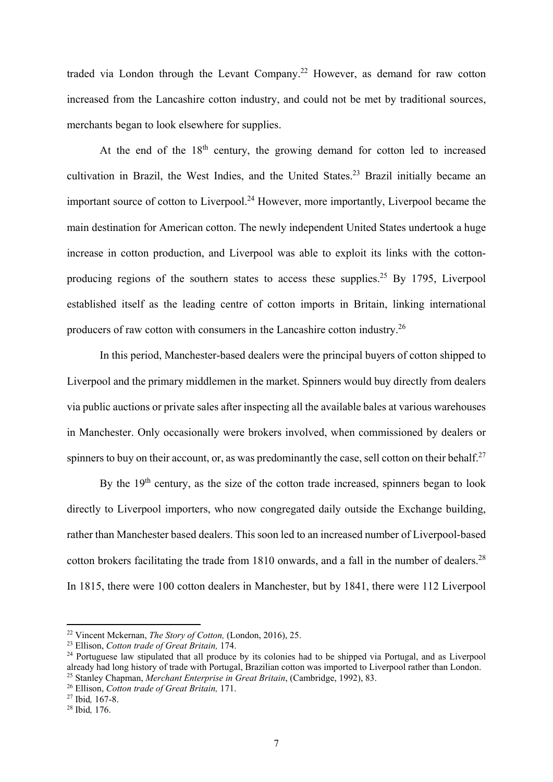traded via London through the Levant Company.22 However, as demand for raw cotton increased from the Lancashire cotton industry, and could not be met by traditional sources, merchants began to look elsewhere for supplies.

At the end of the  $18<sup>th</sup>$  century, the growing demand for cotton led to increased cultivation in Brazil, the West Indies, and the United States.<sup>23</sup> Brazil initially became an important source of cotton to Liverpool.<sup>24</sup> However, more importantly, Liverpool became the main destination for American cotton. The newly independent United States undertook a huge increase in cotton production, and Liverpool was able to exploit its links with the cottonproducing regions of the southern states to access these supplies.<sup>25</sup> By 1795, Liverpool established itself as the leading centre of cotton imports in Britain, linking international producers of raw cotton with consumers in the Lancashire cotton industry.26

In this period, Manchester-based dealers were the principal buyers of cotton shipped to Liverpool and the primary middlemen in the market. Spinners would buy directly from dealers via public auctions or private sales after inspecting all the available bales at various warehouses in Manchester. Only occasionally were brokers involved, when commissioned by dealers or spinners to buy on their account, or, as was predominantly the case, sell cotton on their behalf.<sup>27</sup>

By the  $19<sup>th</sup>$  century, as the size of the cotton trade increased, spinners began to look directly to Liverpool importers, who now congregated daily outside the Exchange building, rather than Manchester based dealers. This soon led to an increased number of Liverpool-based cotton brokers facilitating the trade from 1810 onwards, and a fall in the number of dealers.<sup>28</sup> In 1815, there were 100 cotton dealers in Manchester, but by 1841, there were 112 Liverpool

<sup>&</sup>lt;sup>22</sup> Vincent Mckernan, *The Story of Cotton*, (London, 2016), 25.<br><sup>23</sup> Ellison, *Cotton trade of Great Britain*, 174.<br><sup>24</sup> Portuguese law stipulated that all produce by its colonies had to be shipped via Portugal, and as already had long history of trade with Portugal, Brazilian cotton was imported to Liverpool rather than London.<br><sup>25</sup> Stanley Chapman, *Merchant Enterprise in Great Britain*, (Cambridge, 1992), 83.<br><sup>26</sup> Ellison, *Cotton tra*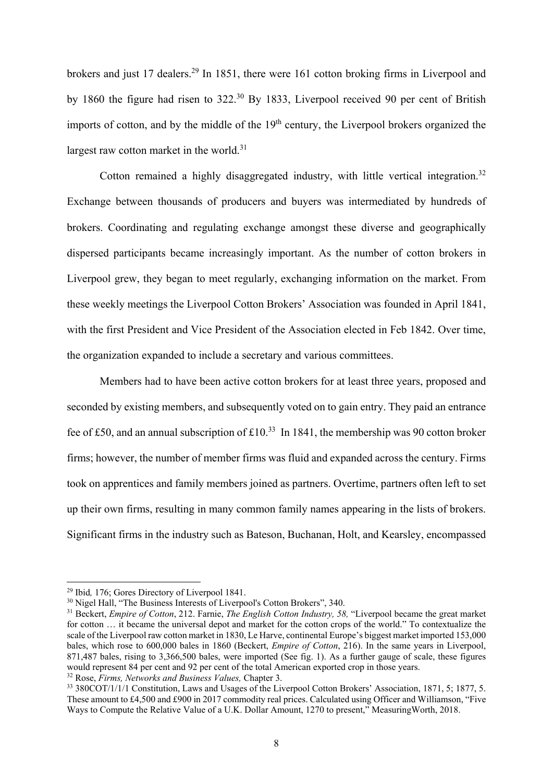brokers and just 17 dealers.<sup>29</sup> In 1851, there were 161 cotton broking firms in Liverpool and by 1860 the figure had risen to 322.30 By 1833, Liverpool received 90 per cent of British imports of cotton, and by the middle of the 19<sup>th</sup> century, the Liverpool brokers organized the largest raw cotton market in the world. $31$ 

Cotton remained a highly disaggregated industry, with little vertical integration.<sup>32</sup> Exchange between thousands of producers and buyers was intermediated by hundreds of brokers. Coordinating and regulating exchange amongst these diverse and geographically dispersed participants became increasingly important. As the number of cotton brokers in Liverpool grew, they began to meet regularly, exchanging information on the market. From these weekly meetings the Liverpool Cotton Brokers' Association was founded in April 1841, with the first President and Vice President of the Association elected in Feb 1842. Over time, the organization expanded to include a secretary and various committees.

Members had to have been active cotton brokers for at least three years, proposed and seconded by existing members, and subsequently voted on to gain entry. They paid an entrance fee of £50, and an annual subscription of  $\text{\pounds}10^{33}$  In 1841, the membership was 90 cotton broker firms; however, the number of member firms was fluid and expanded across the century. Firms took on apprentices and family members joined as partners. Overtime, partners often left to set up their own firms, resulting in many common family names appearing in the lists of brokers. Significant firms in the industry such as Bateson, Buchanan, Holt, and Kearsley, encompassed

<sup>&</sup>lt;sup>29</sup> Ibid, 176; Gores Directory of Liverpool 1841.<br><sup>30</sup> Nigel Hall, "The Business Interests of Liverpool's Cotton Brokers", 340.

<sup>31</sup> Beckert, *Empire of Cotton*, 212. Farnie, *The English Cotton Industry, 58,* "Liverpool became the great market for cotton … it became the universal depot and market for the cotton crops of the world." To contextualize the scale of the Liverpool raw cotton market in 1830, Le Harve, continental Europe's biggest market imported 153,000 bales, which rose to 600,000 bales in 1860 (Beckert, *Empire of Cotton*, 216). In the same years in Liverpool, 871,487 bales, rising to 3,366,500 bales, were imported (See fig. 1). As a further gauge of scale, these figures would represent 84 per cent and 92 per cent of the total American exported crop in those years. 32 Rose, *Firms, Networks and Business Values,* Chapter 3.

<sup>&</sup>lt;sup>33</sup> 380COT/1/1/1 Constitution, Laws and Usages of the Liverpool Cotton Brokers' Association, 1871, 5: 1877, 5. These amount to £4,500 and £900 in 2017 commodity real prices. Calculated using Officer and Williamson, "Five Ways to Compute the Relative Value of a U.K. Dollar Amount, 1270 to present," MeasuringWorth, 2018.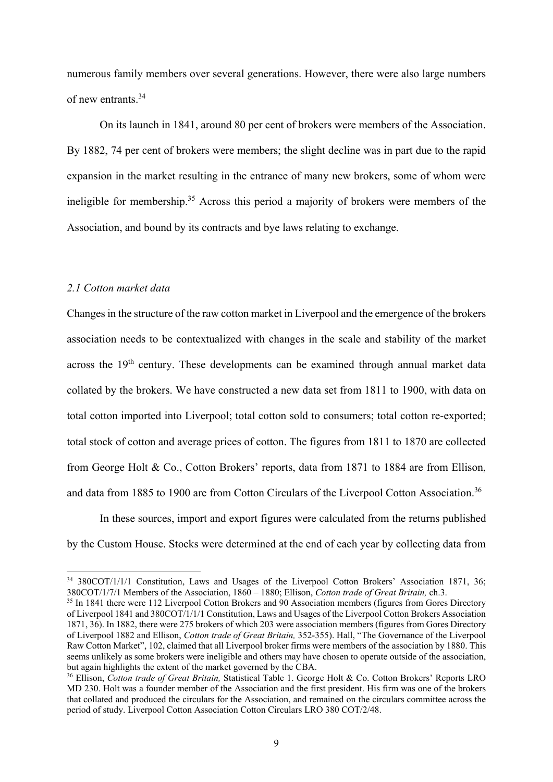numerous family members over several generations. However, there were also large numbers of new entrants.34

On its launch in 1841, around 80 per cent of brokers were members of the Association. By 1882, 74 per cent of brokers were members; the slight decline was in part due to the rapid expansion in the market resulting in the entrance of many new brokers, some of whom were ineligible for membership.<sup>35</sup> Across this period a majority of brokers were members of the Association, and bound by its contracts and bye laws relating to exchange.

### *2.1 Cotton market data*

**.** 

Changes in the structure of the raw cotton market in Liverpool and the emergence of the brokers association needs to be contextualized with changes in the scale and stability of the market across the 19<sup>th</sup> century. These developments can be examined through annual market data collated by the brokers. We have constructed a new data set from 1811 to 1900, with data on total cotton imported into Liverpool; total cotton sold to consumers; total cotton re-exported; total stock of cotton and average prices of cotton. The figures from 1811 to 1870 are collected from George Holt & Co., Cotton Brokers' reports, data from 1871 to 1884 are from Ellison, and data from 1885 to 1900 are from Cotton Circulars of the Liverpool Cotton Association.<sup>36</sup>

In these sources, import and export figures were calculated from the returns published by the Custom House. Stocks were determined at the end of each year by collecting data from

<sup>&</sup>lt;sup>34</sup> 380COT/1/1/1 Constitution, Laws and Usages of the Liverpool Cotton Brokers' Association 1871, 36; 380COT/1/7/1 Members of the Association, 1860 – 1880; Ellison, *Cotton trade of Great Britain,* ch.3. 35 In 1841 there were 112 Liverpool Cotton Brokers and 90 Association members (figures from Gores Directory

of Liverpool 1841 and 380COT/1/1/1 Constitution, Laws and Usages of the Liverpool Cotton Brokers Association 1871, 36). In 1882, there were 275 brokers of which 203 were association members (figures from Gores Directory of Liverpool 1882 and Ellison, *Cotton trade of Great Britain,* 352-355). Hall, "The Governance of the Liverpool Raw Cotton Market", 102, claimed that all Liverpool broker firms were members of the association by 1880. This seems unlikely as some brokers were ineligible and others may have chosen to operate outside of the association, but again highlights the extent of the market governed by the CBA.

<sup>36</sup> Ellison, *Cotton trade of Great Britain,* Statistical Table 1. George Holt & Co. Cotton Brokers' Reports LRO MD 230. Holt was a founder member of the Association and the first president. His firm was one of the brokers that collated and produced the circulars for the Association, and remained on the circulars committee across the period of study. Liverpool Cotton Association Cotton Circulars LRO 380 COT/2/48.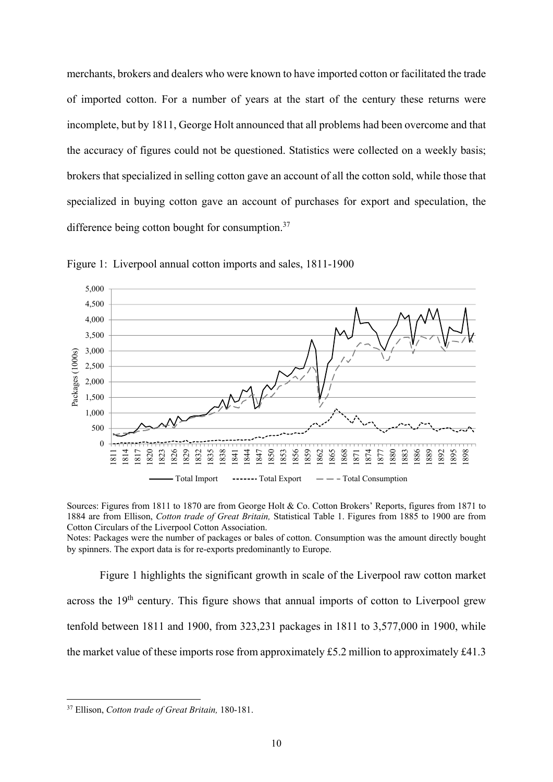merchants, brokers and dealers who were known to have imported cotton or facilitated the trade of imported cotton. For a number of years at the start of the century these returns were incomplete, but by 1811, George Holt announced that all problems had been overcome and that the accuracy of figures could not be questioned. Statistics were collected on a weekly basis; brokers that specialized in selling cotton gave an account of all the cotton sold, while those that specialized in buying cotton gave an account of purchases for export and speculation, the difference being cotton bought for consumption.<sup>37</sup>



Figure 1: Liverpool annual cotton imports and sales, 1811-1900

Sources: Figures from 1811 to 1870 are from George Holt & Co. Cotton Brokers' Reports, figures from 1871 to 1884 are from Ellison, *Cotton trade of Great Britain,* Statistical Table 1. Figures from 1885 to 1900 are from Cotton Circulars of the Liverpool Cotton Association.

Notes: Packages were the number of packages or bales of cotton. Consumption was the amount directly bought by spinners. The export data is for re-exports predominantly to Europe.

Figure 1 highlights the significant growth in scale of the Liverpool raw cotton market across the 19<sup>th</sup> century. This figure shows that annual imports of cotton to Liverpool grew tenfold between 1811 and 1900, from 323,231 packages in 1811 to 3,577,000 in 1900, while the market value of these imports rose from approximately £5.2 million to approximately £41.3

<sup>37</sup> Ellison, *Cotton trade of Great Britain,* 180-181.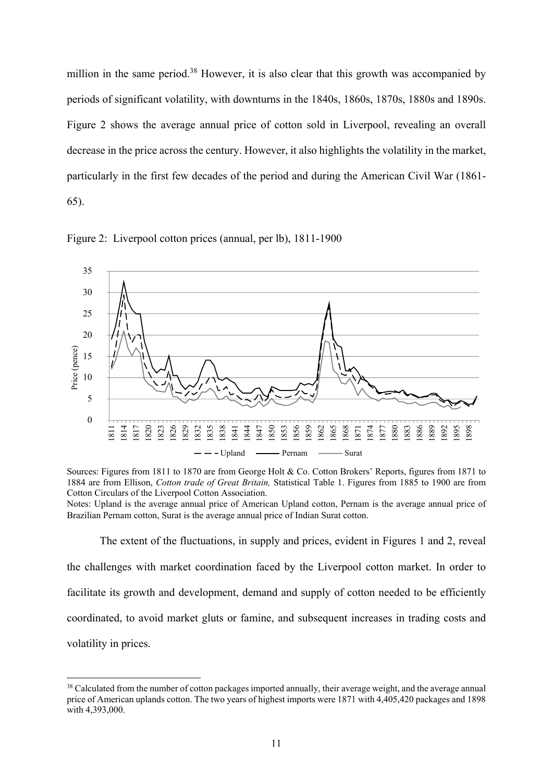million in the same period.<sup>38</sup> However, it is also clear that this growth was accompanied by periods of significant volatility, with downturns in the 1840s, 1860s, 1870s, 1880s and 1890s. Figure 2 shows the average annual price of cotton sold in Liverpool, revealing an overall decrease in the price across the century. However, it also highlights the volatility in the market, particularly in the first few decades of the period and during the American Civil War (1861- 65).



Figure 2: Liverpool cotton prices (annual, per lb), 1811-1900

Sources: Figures from 1811 to 1870 are from George Holt & Co. Cotton Brokers' Reports, figures from 1871 to 1884 are from Ellison, *Cotton trade of Great Britain,* Statistical Table 1. Figures from 1885 to 1900 are from Cotton Circulars of the Liverpool Cotton Association.

Notes: Upland is the average annual price of American Upland cotton, Pernam is the average annual price of Brazilian Pernam cotton, Surat is the average annual price of Indian Surat cotton.

The extent of the fluctuations, in supply and prices, evident in Figures 1 and 2, reveal the challenges with market coordination faced by the Liverpool cotton market. In order to facilitate its growth and development, demand and supply of cotton needed to be efficiently coordinated, to avoid market gluts or famine, and subsequent increases in trading costs and volatility in prices.

<sup>&</sup>lt;sup>38</sup> Calculated from the number of cotton packages imported annually, their average weight, and the average annual price of American uplands cotton. The two years of highest imports were 1871 with 4,405,420 packages and 1898 with 4,393,000.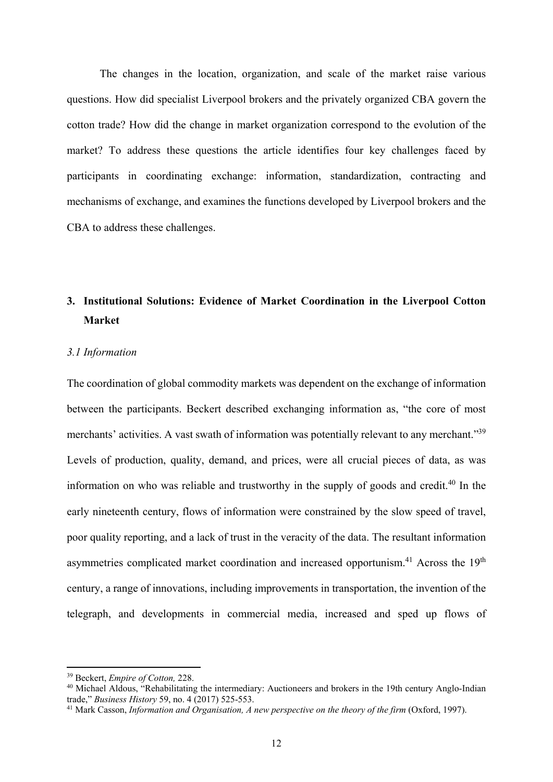The changes in the location, organization, and scale of the market raise various questions. How did specialist Liverpool brokers and the privately organized CBA govern the cotton trade? How did the change in market organization correspond to the evolution of the market? To address these questions the article identifies four key challenges faced by participants in coordinating exchange: information, standardization, contracting and mechanisms of exchange, and examines the functions developed by Liverpool brokers and the CBA to address these challenges.

# **3. Institutional Solutions: Evidence of Market Coordination in the Liverpool Cotton Market**

### *3.1 Information*

The coordination of global commodity markets was dependent on the exchange of information between the participants. Beckert described exchanging information as, "the core of most merchants' activities. A vast swath of information was potentially relevant to any merchant."<sup>39</sup> Levels of production, quality, demand, and prices, were all crucial pieces of data, as was information on who was reliable and trustworthy in the supply of goods and credit.40 In the early nineteenth century, flows of information were constrained by the slow speed of travel, poor quality reporting, and a lack of trust in the veracity of the data. The resultant information asymmetries complicated market coordination and increased opportunism.<sup>41</sup> Across the 19<sup>th</sup> century, a range of innovations, including improvements in transportation, the invention of the telegraph, and developments in commercial media, increased and sped up flows of

<sup>&</sup>lt;sup>39</sup> Beckert, *Empire of Cotton*, 228.<br><sup>40</sup> Michael Aldous, "Rehabilitating the intermediary: Auctioneers and brokers in the 19th century Anglo-Indian trade," *Business History* 59, no. 4 (2017) 525-553.<br><sup>41</sup> Mark Casson, *Information and Organisation, A new perspective on the theory of the firm* (Oxford, 1997).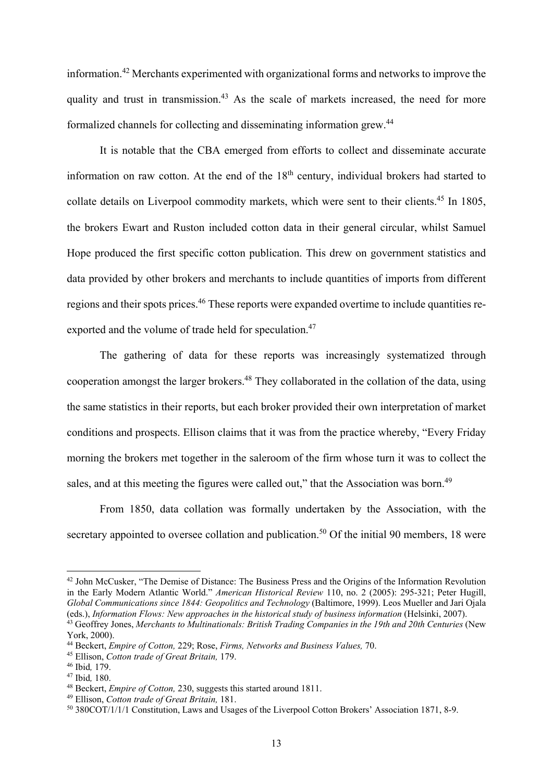information.42 Merchants experimented with organizational forms and networks to improve the quality and trust in transmission.<sup>43</sup> As the scale of markets increased, the need for more formalized channels for collecting and disseminating information grew.44

It is notable that the CBA emerged from efforts to collect and disseminate accurate information on raw cotton. At the end of the  $18<sup>th</sup>$  century, individual brokers had started to collate details on Liverpool commodity markets, which were sent to their clients.<sup>45</sup> In 1805, the brokers Ewart and Ruston included cotton data in their general circular, whilst Samuel Hope produced the first specific cotton publication. This drew on government statistics and data provided by other brokers and merchants to include quantities of imports from different regions and their spots prices.<sup>46</sup> These reports were expanded overtime to include quantities reexported and the volume of trade held for speculation.<sup>47</sup>

The gathering of data for these reports was increasingly systematized through cooperation amongst the larger brokers.<sup>48</sup> They collaborated in the collation of the data, using the same statistics in their reports, but each broker provided their own interpretation of market conditions and prospects. Ellison claims that it was from the practice whereby, "Every Friday morning the brokers met together in the saleroom of the firm whose turn it was to collect the sales, and at this meeting the figures were called out," that the Association was born.<sup>49</sup>

From 1850, data collation was formally undertaken by the Association, with the secretary appointed to oversee collation and publication.<sup>50</sup> Of the initial 90 members, 18 were

<sup>&</sup>lt;sup>42</sup> John McCusker, "The Demise of Distance: The Business Press and the Origins of the Information Revolution in the Early Modern Atlantic World." *American Historical Review* 110, no. 2 (2005): 295-321; Peter Hugill, *Global Communications since 1844: Geopolitics and Technology* (Baltimore, 1999). Leos Mueller and Jari Ojala (eds.), Information Flows: New approaches in the historical study of business information (Helsinki, 2007).<br><sup>43</sup> Geoffrey Jones, Merchants to Multinationals: British Trading Companies in the 19th and 20th Centuries (New

York, 2000).<br><sup>44</sup> Beckert, *Empire of Cotton*, 229; Rose, *Firms, Networks and Business Values, 70*.

<sup>&</sup>lt;sup>45</sup> Ellison, *Cotton trade of Great Britain*, 179.<br><sup>46</sup> Ibid, 179.<br><sup>47</sup> Ibid, 180.<br><sup>48</sup> Beckert, *Empire of Cotton*, 230, suggests this started around 1811.<br><sup>49</sup> Ellison, *Cotton trade of Great Britain*, 181.<br><sup>50</sup> 380COT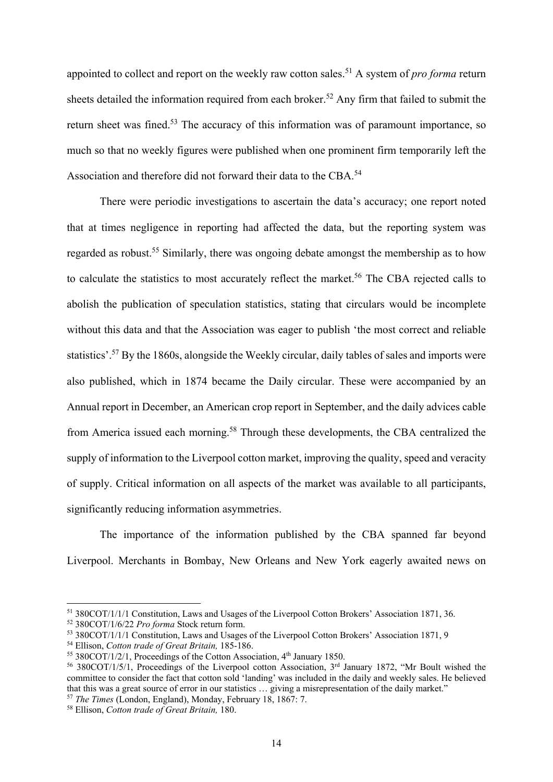appointed to collect and report on the weekly raw cotton sales.<sup>51</sup> A system of *pro forma* return sheets detailed the information required from each broker.<sup>52</sup> Any firm that failed to submit the return sheet was fined.<sup>53</sup> The accuracy of this information was of paramount importance, so much so that no weekly figures were published when one prominent firm temporarily left the Association and therefore did not forward their data to the CBA.<sup>54</sup>

There were periodic investigations to ascertain the data's accuracy; one report noted that at times negligence in reporting had affected the data, but the reporting system was regarded as robust.<sup>55</sup> Similarly, there was ongoing debate amongst the membership as to how to calculate the statistics to most accurately reflect the market.<sup>56</sup> The CBA rejected calls to abolish the publication of speculation statistics, stating that circulars would be incomplete without this data and that the Association was eager to publish 'the most correct and reliable statistics'.57 By the 1860s, alongside the Weekly circular, daily tables of sales and imports were also published, which in 1874 became the Daily circular. These were accompanied by an Annual report in December, an American crop report in September, and the daily advices cable from America issued each morning.<sup>58</sup> Through these developments, the CBA centralized the supply of information to the Liverpool cotton market, improving the quality, speed and veracity of supply. Critical information on all aspects of the market was available to all participants, significantly reducing information asymmetries.

The importance of the information published by the CBA spanned far beyond Liverpool. Merchants in Bombay, New Orleans and New York eagerly awaited news on

<sup>&</sup>lt;sup>51</sup> 380COT/1/1/1 Constitution, Laws and Usages of the Liverpool Cotton Brokers' Association 1871, 36.<br><sup>52</sup> 380COT/1/6/22 *Pro forma* Stock return form.

<sup>&</sup>lt;sup>53</sup> 380COT/1/1/1 Constitution, Laws and Usages of the Liverpool Cotton Brokers' Association 1871, 9<br><sup>54</sup> Ellison, *Cotton trade of Great Britain*, 185-186.

<sup>&</sup>lt;sup>55</sup> 380COT/1/2/1, Proceedings of the Cotton Association, 4<sup>th</sup> January 1850.<br><sup>56</sup> 380COT/1/5/1, Proceedings of the Liverpool cotton Association, 3<sup>rd</sup> January 1872, "Mr Boult wished the committee to consider the fact that cotton sold 'landing' was included in the daily and weekly sales. He believed that this was a great source of error in our statistics … giving a misrepresentation of the daily market."

<sup>57</sup> *The Times* (London, England), Monday, February 18, 1867: 7. 58 Ellison, *Cotton trade of Great Britain,* 180.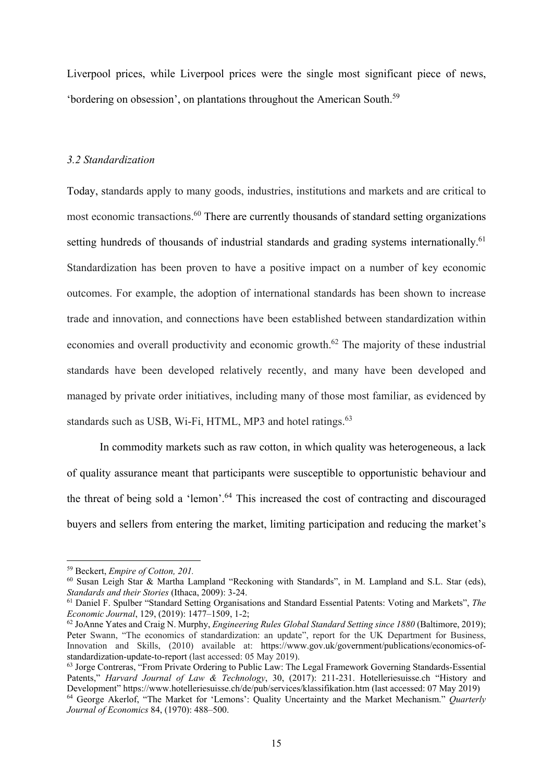Liverpool prices, while Liverpool prices were the single most significant piece of news, 'bordering on obsession', on plantations throughout the American South.59

### *3.2 Standardization*

Today, standards apply to many goods, industries, institutions and markets and are critical to most economic transactions.60 There are currently thousands of standard setting organizations setting hundreds of thousands of industrial standards and grading systems internationally.<sup>61</sup> Standardization has been proven to have a positive impact on a number of key economic outcomes. For example, the adoption of international standards has been shown to increase trade and innovation, and connections have been established between standardization within economies and overall productivity and economic growth.<sup>62</sup> The majority of these industrial standards have been developed relatively recently, and many have been developed and managed by private order initiatives, including many of those most familiar, as evidenced by standards such as USB, Wi-Fi, HTML, MP3 and hotel ratings.<sup>63</sup>

In commodity markets such as raw cotton, in which quality was heterogeneous, a lack of quality assurance meant that participants were susceptible to opportunistic behaviour and the threat of being sold a 'lemon'.64 This increased the cost of contracting and discouraged buyers and sellers from entering the market, limiting participation and reducing the market's

<sup>59</sup> Beckert, *Empire of Cotton, 201.*

 $60$  Susan Leigh Star & Martha Lampland "Reckoning with Standards", in M. Lampland and S.L. Star (eds), Standards and their Stories (Ithaca, 2009): 3-24.

<sup>&</sup>lt;sup>61</sup> Daniel F. Spulber "Standard Setting Organisations and Standard Essential Patents: Voting and Markets", *The Economic Journal*, 129, (2019): 1477–1509, 1-2;<br><sup>62</sup> JoAnne Yates and Craig N. Murphy, *Engineering Rules Global Standard Setting since 1880* (Baltimore, 2019);

Peter Swann, "The economics of standardization: an update", report for the UK Department for Business, Innovation and Skills, (2010) available at: https://www.gov.uk/government/publications/economics-ofstandardization-update-to-report (last accessed: 05 May 2019).

<sup>63</sup> Jorge Contreras, "From Private Ordering to Public Law: The Legal Framework Governing Standards-Essential Patents," *Harvard Journal of Law & Technology*, 30, (2017): 211-231. Hotelleriesuisse.ch "History and Development" https://www.hotelleriesuisse.ch/de/pub/services/klassifikation.htm (last accessed: 07 May 2019)

<sup>64</sup> George Akerlof, "The Market for 'Lemons': Quality Uncertainty and the Market Mechanism." *Quarterly Journal of Economics* 84, (1970): 488–500.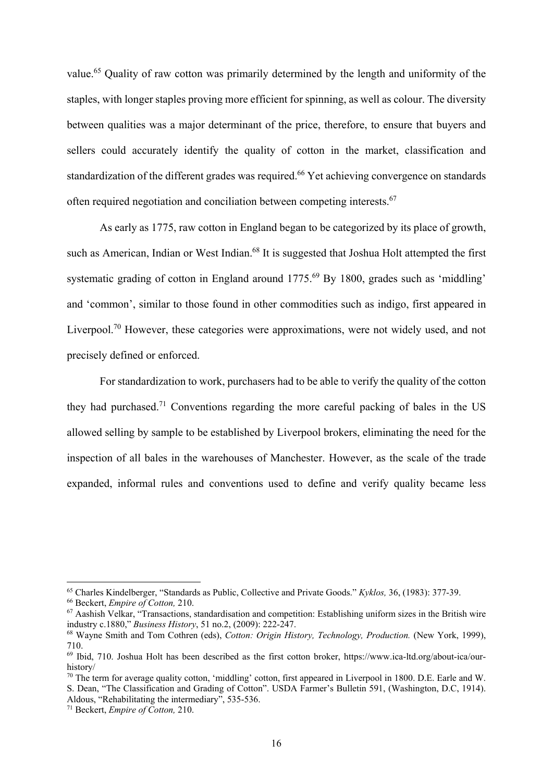value.<sup>65</sup> Quality of raw cotton was primarily determined by the length and uniformity of the staples, with longer staples proving more efficient for spinning, as well as colour. The diversity between qualities was a major determinant of the price, therefore, to ensure that buyers and sellers could accurately identify the quality of cotton in the market, classification and standardization of the different grades was required.<sup>66</sup> Yet achieving convergence on standards often required negotiation and conciliation between competing interests.67

As early as 1775, raw cotton in England began to be categorized by its place of growth, such as American, Indian or West Indian.<sup>68</sup> It is suggested that Joshua Holt attempted the first systematic grading of cotton in England around 1775.<sup>69</sup> By 1800, grades such as 'middling' and 'common', similar to those found in other commodities such as indigo, first appeared in Liverpool.<sup>70</sup> However, these categories were approximations, were not widely used, and not precisely defined or enforced.

For standardization to work, purchasers had to be able to verify the quality of the cotton they had purchased.<sup>71</sup> Conventions regarding the more careful packing of bales in the US allowed selling by sample to be established by Liverpool brokers, eliminating the need for the inspection of all bales in the warehouses of Manchester. However, as the scale of the trade expanded, informal rules and conventions used to define and verify quality became less

<sup>&</sup>lt;sup>65</sup> Charles Kindelberger, "Standards as Public, Collective and Private Goods." Kyklos, 36, (1983): 377-39.<br><sup>66</sup> Beckert, *Empire of Cotton*, 210.<br><sup>67</sup> Aashish Velkar, "Transactions, standardisation and competition: Estab

<sup>&</sup>lt;sup>68</sup> Wayne Smith and Tom Cothren (eds), *Cotton: Origin History, Technology, Production.* (New York, 1999), 710.

<sup>69</sup> Ibid, 710. Joshua Holt has been described as the first cotton broker, https://www.ica-ltd.org/about-ica/ourhistory/

<sup>&</sup>lt;sup>70</sup> The term for average quality cotton, 'middling' cotton, first appeared in Liverpool in 1800. D.E. Earle and W. S. Dean, "The Classification and Grading of Cotton". USDA Farmer's Bulletin 591, (Washington, D.C, 1914). Aldous, "Rehabilitating the intermediary", 535-536.

<sup>71</sup> Beckert, *Empire of Cotton,* 210.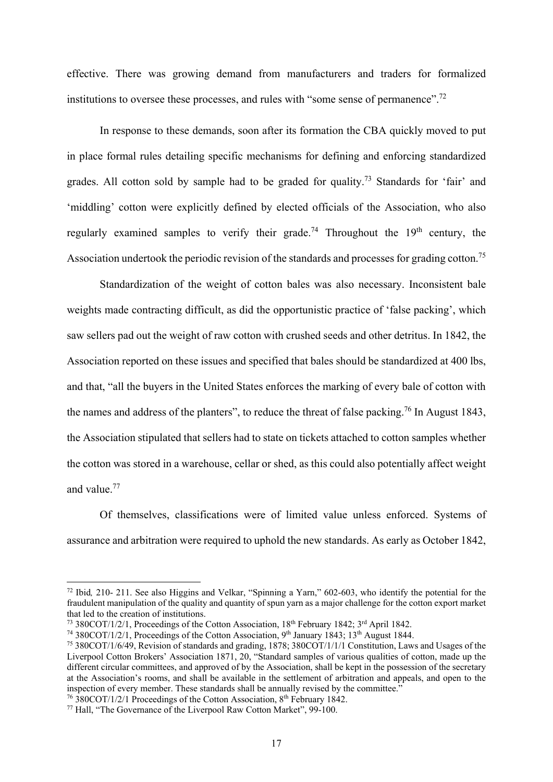effective. There was growing demand from manufacturers and traders for formalized institutions to oversee these processes, and rules with "some sense of permanence".<sup>72</sup>

In response to these demands, soon after its formation the CBA quickly moved to put in place formal rules detailing specific mechanisms for defining and enforcing standardized grades. All cotton sold by sample had to be graded for quality.73 Standards for 'fair' and 'middling' cotton were explicitly defined by elected officials of the Association, who also regularly examined samples to verify their grade.<sup>74</sup> Throughout the  $19<sup>th</sup>$  century, the Association undertook the periodic revision of the standards and processes for grading cotton.<sup>75</sup>

Standardization of the weight of cotton bales was also necessary. Inconsistent bale weights made contracting difficult, as did the opportunistic practice of 'false packing', which saw sellers pad out the weight of raw cotton with crushed seeds and other detritus. In 1842, the Association reported on these issues and specified that bales should be standardized at 400 lbs, and that, "all the buyers in the United States enforces the marking of every bale of cotton with the names and address of the planters", to reduce the threat of false packing.<sup>76</sup> In August 1843, the Association stipulated that sellers had to state on tickets attached to cotton samples whether the cotton was stored in a warehouse, cellar or shed, as this could also potentially affect weight and value.77

Of themselves, classifications were of limited value unless enforced. Systems of assurance and arbitration were required to uphold the new standards. As early as October 1842,

<sup>72</sup> Ibid*,* 210- 211. See also Higgins and Velkar, "Spinning a Yarn," 602-603, who identify the potential for the fraudulent manipulation of the quality and quantity of spun yarn as a major challenge for the cotton export market that led to the creation of institutions.

<sup>&</sup>lt;sup>73</sup> 380COT/1/2/1, Proceedings of the Cotton Association,  $18<sup>th</sup>$  February 1842;  $3<sup>rd</sup>$  April 1842.<br><sup>74</sup> 380COT/1/2/1, Proceedings of the Cotton Association, 9<sup>th</sup> January 1843;  $13<sup>th</sup>$  August 1844.

<sup>&</sup>lt;sup>75</sup> 380COT/1/6/49, Revision of standards and grading, 1878; 380COT/1/1/1 Constitution, Laws and Usages of the Liverpool Cotton Brokers' Association 1871, 20, "Standard samples of various qualities of cotton, made up the different circular committees, and approved of by the Association, shall be kept in the possession of the secretary at the Association's rooms, and shall be available in the settlement of arbitration and appeals, and open to the inspection of every member. These standards shall be annually revised by the committee."

<sup>&</sup>lt;sup>76</sup> 380COT/1/2/1 Proceedings of the Cotton Association, 8<sup>th</sup> February 1842.<br><sup>77</sup> Hall, "The Governance of the Liverpool Raw Cotton Market", 99-100.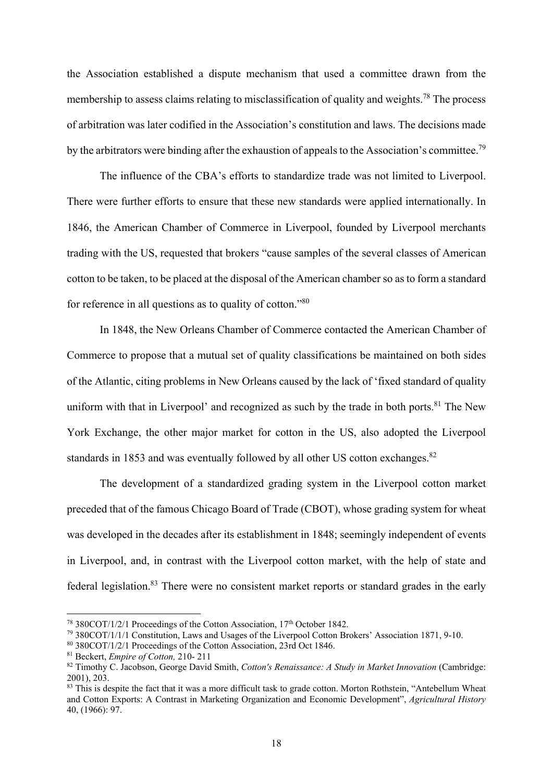the Association established a dispute mechanism that used a committee drawn from the membership to assess claims relating to misclassification of quality and weights.<sup>78</sup> The process of arbitration was later codified in the Association's constitution and laws. The decisions made by the arbitrators were binding after the exhaustion of appeals to the Association's committee.<sup>79</sup>

The influence of the CBA's efforts to standardize trade was not limited to Liverpool. There were further efforts to ensure that these new standards were applied internationally. In 1846, the American Chamber of Commerce in Liverpool, founded by Liverpool merchants trading with the US, requested that brokers "cause samples of the several classes of American cotton to be taken, to be placed at the disposal of the American chamber so as to form a standard for reference in all questions as to quality of cotton."80

In 1848, the New Orleans Chamber of Commerce contacted the American Chamber of Commerce to propose that a mutual set of quality classifications be maintained on both sides of the Atlantic, citing problems in New Orleans caused by the lack of 'fixed standard of quality uniform with that in Liverpool' and recognized as such by the trade in both ports. $81$  The New York Exchange, the other major market for cotton in the US, also adopted the Liverpool standards in 1853 and was eventually followed by all other US cotton exchanges.<sup>82</sup>

The development of a standardized grading system in the Liverpool cotton market preceded that of the famous Chicago Board of Trade (CBOT), whose grading system for wheat was developed in the decades after its establishment in 1848; seemingly independent of events in Liverpool, and, in contrast with the Liverpool cotton market, with the help of state and federal legislation.<sup>83</sup> There were no consistent market reports or standard grades in the early

<sup>&</sup>lt;sup>78</sup> 380COT/1/2/1 Proceedings of the Cotton Association,  $17<sup>th</sup>$  October 1842.<br><sup>79</sup> 380COT/1/1/1 Constitution, Laws and Usages of the Liverpool Cotton Brokers' Association 1871, 9-10.<br><sup>80</sup> 380COT/1/2/1 Proceedings of

<sup>&</sup>lt;sup>82</sup> Timothy C. Jacobson, George David Smith, *Cotton's Renaissance: A Study in Market Innovation* (Cambridge: 2001), 203.

<sup>&</sup>lt;sup>83</sup> This is despite the fact that it was a more difficult task to grade cotton. Morton Rothstein, "Antebellum Wheat and Cotton Exports: A Contrast in Marketing Organization and Economic Development", *Agricultural History* 40, (1966): 97.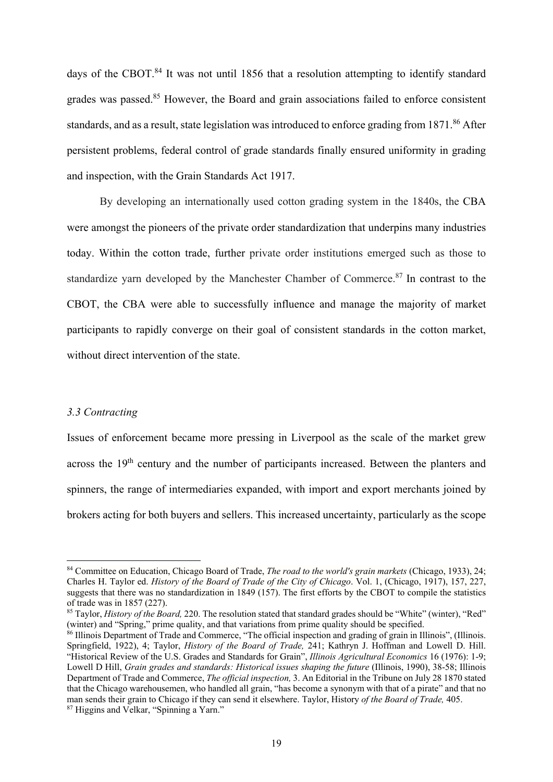days of the CBOT.<sup>84</sup> It was not until 1856 that a resolution attempting to identify standard grades was passed.<sup>85</sup> However, the Board and grain associations failed to enforce consistent standards, and as a result, state legislation was introduced to enforce grading from 1871.<sup>86</sup> After persistent problems, federal control of grade standards finally ensured uniformity in grading and inspection, with the Grain Standards Act 1917.

By developing an internationally used cotton grading system in the 1840s, the CBA were amongst the pioneers of the private order standardization that underpins many industries today. Within the cotton trade, further private order institutions emerged such as those to standardize varn developed by the Manchester Chamber of Commerce.<sup>87</sup> In contrast to the CBOT, the CBA were able to successfully influence and manage the majority of market participants to rapidly converge on their goal of consistent standards in the cotton market, without direct intervention of the state.

### *3.3 Contracting*

**.** 

Issues of enforcement became more pressing in Liverpool as the scale of the market grew across the 19th century and the number of participants increased. Between the planters and spinners, the range of intermediaries expanded, with import and export merchants joined by brokers acting for both buyers and sellers. This increased uncertainty, particularly as the scope

<sup>84</sup> Committee on Education, Chicago Board of Trade, *The road to the world's grain markets* (Chicago, 1933), 24; Charles H. Taylor ed. *History of the Board of Trade of the City of Chicago*. Vol. 1, (Chicago, 1917), 157, 227, suggests that there was no standardization in 1849 (157). The first efforts by the CBOT to compile the statistics of trade was in 1857 (227).

<sup>&</sup>lt;sup>85</sup> Taylor, *History of the Board*, 220. The resolution stated that standard grades should be "White" (winter), "Red" (winter) and "Spring," prime quality, and that variations from prime quality should be specified.

 $\frac{86}{6}$  Illinois Department of Trade and Commerce, "The official inspection and grading of grain in Illinois", (Illinois. Springfield, 1922), 4; Taylor, *History of the Board of Trade,* 241; Kathryn J. Hoffman and Lowell D. Hill. "Historical Review of the U.S. Grades and Standards for Grain", *Illinois Agricultural Economics* 16 (1976): 1-9; Lowell D Hill, *Grain grades and standards: Historical issues shaping the future* (Illinois, 1990), 38-58; Illinois Department of Trade and Commerce, *The official inspection,* 3. An Editorial in the Tribune on July 28 1870 stated that the Chicago warehousemen, who handled all grain, "has become a synonym with that of a pirate" and that no man sends their grain to Chicago if they can send it elsewhere. Taylor, History *of the Board of Trade*, 405. <sup>87</sup> Higgins and Velkar, "Spinning a Yarn."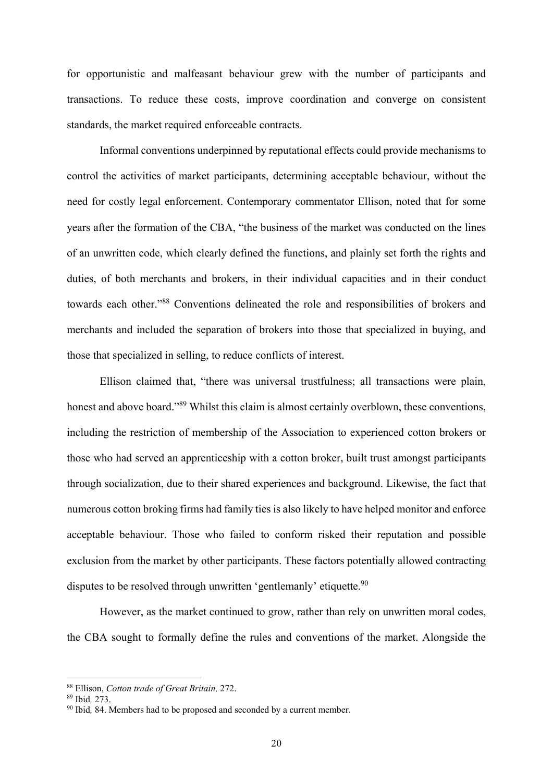for opportunistic and malfeasant behaviour grew with the number of participants and transactions. To reduce these costs, improve coordination and converge on consistent standards, the market required enforceable contracts.

Informal conventions underpinned by reputational effects could provide mechanisms to control the activities of market participants, determining acceptable behaviour, without the need for costly legal enforcement. Contemporary commentator Ellison, noted that for some years after the formation of the CBA, "the business of the market was conducted on the lines of an unwritten code, which clearly defined the functions, and plainly set forth the rights and duties, of both merchants and brokers, in their individual capacities and in their conduct towards each other."88 Conventions delineated the role and responsibilities of brokers and merchants and included the separation of brokers into those that specialized in buying, and those that specialized in selling, to reduce conflicts of interest.

Ellison claimed that, "there was universal trustfulness; all transactions were plain, honest and above board."<sup>89</sup> Whilst this claim is almost certainly overblown, these conventions, including the restriction of membership of the Association to experienced cotton brokers or those who had served an apprenticeship with a cotton broker, built trust amongst participants through socialization, due to their shared experiences and background. Likewise, the fact that numerous cotton broking firms had family ties is also likely to have helped monitor and enforce acceptable behaviour. Those who failed to conform risked their reputation and possible exclusion from the market by other participants. These factors potentially allowed contracting disputes to be resolved through unwritten 'gentlemanly' etiquette.<sup>90</sup>

However, as the market continued to grow, rather than rely on unwritten moral codes, the CBA sought to formally define the rules and conventions of the market. Alongside the

<sup>&</sup>lt;sup>88</sup> Ellison, *Cotton trade of Great Britain*, 272.<br><sup>89</sup> Ibid, 273.<br><sup>90</sup> Ibid, 84. Members had to be proposed and seconded by a current member.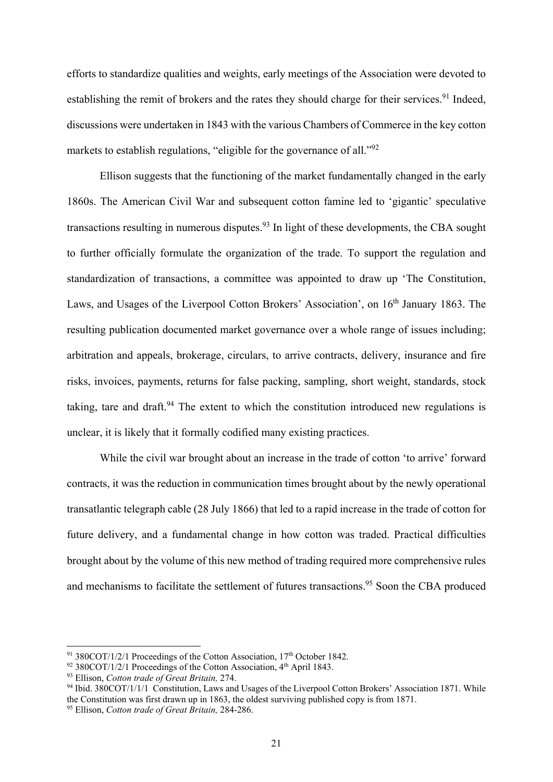efforts to standardize qualities and weights, early meetings of the Association were devoted to establishing the remit of brokers and the rates they should charge for their services.<sup>91</sup> Indeed, discussions were undertaken in 1843 with the various Chambers of Commerce in the key cotton markets to establish regulations, "eligible for the governance of all."<sup>92</sup>

Ellison suggests that the functioning of the market fundamentally changed in the early 1860s. The American Civil War and subsequent cotton famine led to 'gigantic' speculative transactions resulting in numerous disputes.<sup>93</sup> In light of these developments, the CBA sought to further officially formulate the organization of the trade. To support the regulation and standardization of transactions, a committee was appointed to draw up 'The Constitution, Laws, and Usages of the Liverpool Cotton Brokers' Association', on 16<sup>th</sup> January 1863. The resulting publication documented market governance over a whole range of issues including; arbitration and appeals, brokerage, circulars, to arrive contracts, delivery, insurance and fire risks, invoices, payments, returns for false packing, sampling, short weight, standards, stock taking, tare and draft.<sup>94</sup> The extent to which the constitution introduced new regulations is unclear, it is likely that it formally codified many existing practices.

While the civil war brought about an increase in the trade of cotton 'to arrive' forward contracts, it was the reduction in communication times brought about by the newly operational transatlantic telegraph cable (28 July 1866) that led to a rapid increase in the trade of cotton for future delivery, and a fundamental change in how cotton was traded. Practical difficulties brought about by the volume of this new method of trading required more comprehensive rules and mechanisms to facilitate the settlement of futures transactions.<sup>95</sup> Soon the CBA produced

 $91\,380\text{CO}T/1/2/1$  Proceedings of the Cotton Association,  $17<sup>th</sup>$  October 1842.

<sup>&</sup>lt;sup>92</sup> 380COT/1/2/1 Proceedings of the Cotton Association,  $4<sup>th</sup>$  April 1843.<br><sup>93</sup> Ellison, *Cotton trade of Great Britain*, 274.<br><sup>94</sup> Ibid. 380COT/1/1/1 Constitution, Laws and Usages of the Liverpool Cotton Brokers' As the Constitution was first drawn up in 1863, the oldest surviving published copy is from 1871.

<sup>95</sup> Ellison, *Cotton trade of Great Britain,* 284-286.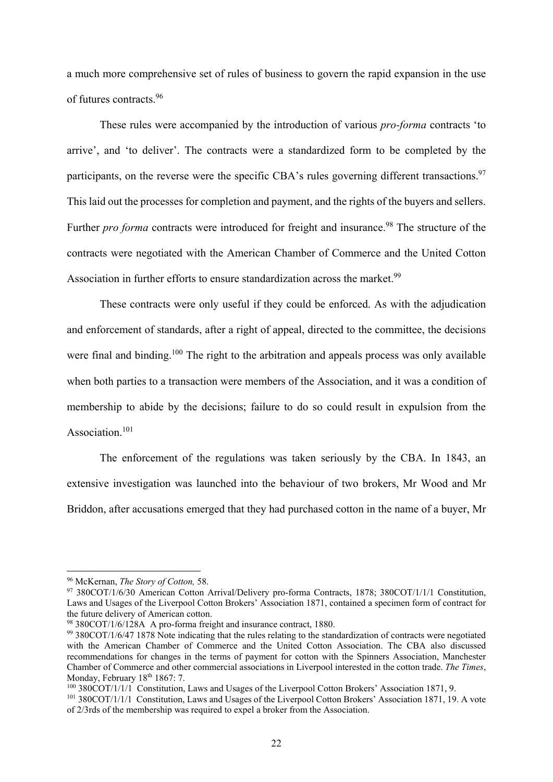a much more comprehensive set of rules of business to govern the rapid expansion in the use of futures contracts.96

These rules were accompanied by the introduction of various *pro-forma* contracts 'to arrive', and 'to deliver'. The contracts were a standardized form to be completed by the participants, on the reverse were the specific CBA's rules governing different transactions.<sup>97</sup> This laid out the processes for completion and payment, and the rights of the buyers and sellers. Further *pro forma* contracts were introduced for freight and insurance.<sup>98</sup> The structure of the contracts were negotiated with the American Chamber of Commerce and the United Cotton Association in further efforts to ensure standardization across the market.<sup>99</sup>

These contracts were only useful if they could be enforced. As with the adjudication and enforcement of standards, after a right of appeal, directed to the committee, the decisions were final and binding.<sup>100</sup> The right to the arbitration and appeals process was only available when both parties to a transaction were members of the Association, and it was a condition of membership to abide by the decisions; failure to do so could result in expulsion from the Association.<sup>101</sup>

The enforcement of the regulations was taken seriously by the CBA. In 1843, an extensive investigation was launched into the behaviour of two brokers, Mr Wood and Mr Briddon, after accusations emerged that they had purchased cotton in the name of a buyer, Mr

<sup>&</sup>lt;sup>96</sup> McKernan, *The Story of Cotton*, 58.<br><sup>97</sup> 380COT/1/6/30 American Cotton Arrival/Delivery pro-forma Contracts, 1878; 380COT/1/1/1 Constitution, Laws and Usages of the Liverpool Cotton Brokers' Association 1871, contained a specimen form of contract for the future delivery of American cotton.

<sup>98 380</sup>COT/1/6/128A A pro-forma freight and insurance contract, 1880.

<sup>99 380</sup>COT/1/6/47 1878 Note indicating that the rules relating to the standardization of contracts were negotiated with the American Chamber of Commerce and the United Cotton Association. The CBA also discussed recommendations for changes in the terms of payment for cotton with the Spinners Association, Manchester Chamber of Commerce and other commercial associations in Liverpool interested in the cotton trade. *The Times*,

<sup>&</sup>lt;sup>100</sup> 380COT/1/1/1 Constitution, Laws and Usages of the Liverpool Cotton Brokers' Association 1871, 9.<br><sup>101</sup> 380COT/1/1/1 Constitution, Laws and Usages of the Liverpool Cotton Brokers' Association 1871, 19. A vote

of 2/3rds of the membership was required to expel a broker from the Association.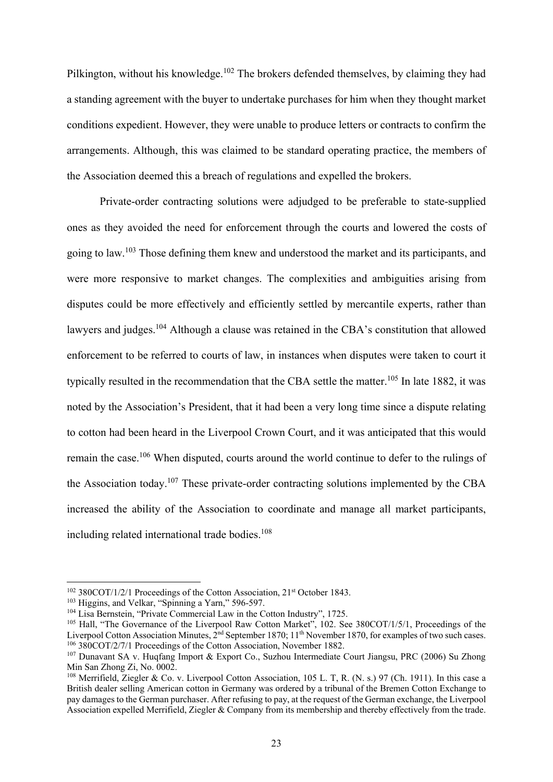Pilkington, without his knowledge.<sup>102</sup> The brokers defended themselves, by claiming they had a standing agreement with the buyer to undertake purchases for him when they thought market conditions expedient. However, they were unable to produce letters or contracts to confirm the arrangements. Although, this was claimed to be standard operating practice, the members of the Association deemed this a breach of regulations and expelled the brokers.

Private-order contracting solutions were adjudged to be preferable to state-supplied ones as they avoided the need for enforcement through the courts and lowered the costs of going to law.103 Those defining them knew and understood the market and its participants, and were more responsive to market changes. The complexities and ambiguities arising from disputes could be more effectively and efficiently settled by mercantile experts, rather than lawyers and judges.<sup>104</sup> Although a clause was retained in the CBA's constitution that allowed enforcement to be referred to courts of law, in instances when disputes were taken to court it typically resulted in the recommendation that the CBA settle the matter.<sup>105</sup> In late 1882, it was noted by the Association's President, that it had been a very long time since a dispute relating to cotton had been heard in the Liverpool Crown Court, and it was anticipated that this would remain the case.106 When disputed, courts around the world continue to defer to the rulings of the Association today.107 These private-order contracting solutions implemented by the CBA increased the ability of the Association to coordinate and manage all market participants, including related international trade bodies.<sup>108</sup>

 $102$  380COT/1/2/1 Proceedings of the Cotton Association, 21<sup>st</sup> October 1843.

<sup>&</sup>lt;sup>103</sup> Higgins, and Velkar, "Spinning a Yarn," 596-597.<br><sup>104</sup> Lisa Bernstein, "Private Commercial Law in the Cotton Industry", 1725.<br><sup>105</sup> Hall, "The Governance of the Liverpool Raw Cotton Market", 102. See 380COT/1/5/1, P Liverpool Cotton Association Minutes,  $2^{nd}$  September 1870; 11<sup>th</sup> November 1870, for examples of two such cases.  $106$  380COT/2/7/1 Proceedings of the Cotton Association, November 1882.

<sup>107</sup> Dunavant SA v. Huqfang Import & Export Co., Suzhou Intermediate Court Jiangsu, PRC (2006) Su Zhong Min San Zhong Zi, No. 0002.

<sup>108</sup> Merrifield, Ziegler & Co. v. Liverpool Cotton Association, 105 L. T, R. (N. s.) 97 (Ch. 1911). In this case a British dealer selling American cotton in Germany was ordered by a tribunal of the Bremen Cotton Exchange to pay damages to the German purchaser. After refusing to pay, at the request of the German exchange, the Liverpool Association expelled Merrifield, Ziegler & Company from its membership and thereby effectively from the trade.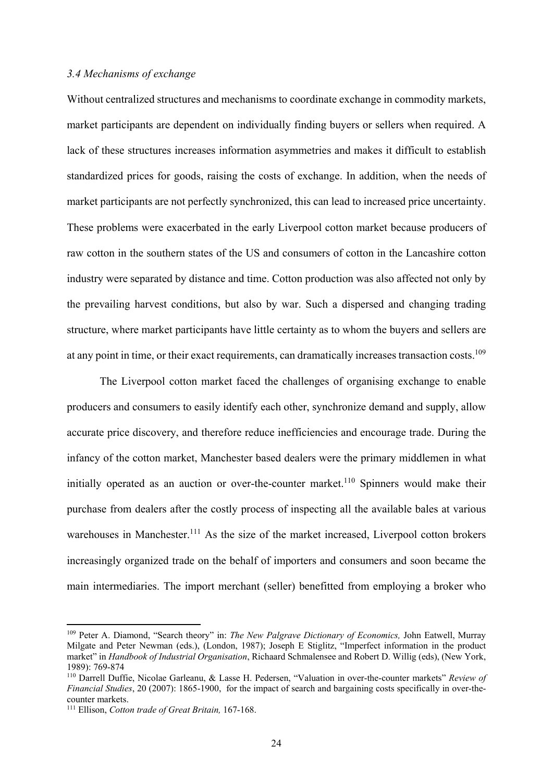### *3.4 Mechanisms of exchange*

Without centralized structures and mechanisms to coordinate exchange in commodity markets, market participants are dependent on individually finding buyers or sellers when required. A lack of these structures increases information asymmetries and makes it difficult to establish standardized prices for goods, raising the costs of exchange. In addition, when the needs of market participants are not perfectly synchronized, this can lead to increased price uncertainty. These problems were exacerbated in the early Liverpool cotton market because producers of raw cotton in the southern states of the US and consumers of cotton in the Lancashire cotton industry were separated by distance and time. Cotton production was also affected not only by the prevailing harvest conditions, but also by war. Such a dispersed and changing trading structure, where market participants have little certainty as to whom the buyers and sellers are at any point in time, or their exact requirements, can dramatically increases transaction costs.<sup>109</sup>

The Liverpool cotton market faced the challenges of organising exchange to enable producers and consumers to easily identify each other, synchronize demand and supply, allow accurate price discovery, and therefore reduce inefficiencies and encourage trade. During the infancy of the cotton market, Manchester based dealers were the primary middlemen in what initially operated as an auction or over-the-counter market.<sup>110</sup> Spinners would make their purchase from dealers after the costly process of inspecting all the available bales at various warehouses in Manchester.<sup>111</sup> As the size of the market increased, Liverpool cotton brokers increasingly organized trade on the behalf of importers and consumers and soon became the main intermediaries. The import merchant (seller) benefitted from employing a broker who

<sup>109</sup> Peter A. Diamond, "Search theory" in: *The New Palgrave Dictionary of Economics,* John Eatwell, Murray Milgate and Peter Newman (eds.), (London, 1987); Joseph E Stiglitz, "Imperfect information in the product market" in *Handbook of Industrial Organisation*, Richaard Schmalensee and Robert D. Willig (eds), (New York, 1989): 769-874

<sup>110</sup> Darrell Duffie, Nicolae Garleanu, & Lasse H. Pedersen, "Valuation in over-the-counter markets" *Review of Financial Studies*, 20 (2007): 1865-1900, for the impact of search and bargaining costs specifically in over-thecounter markets.

<sup>111</sup> Ellison, *Cotton trade of Great Britain,* 167-168.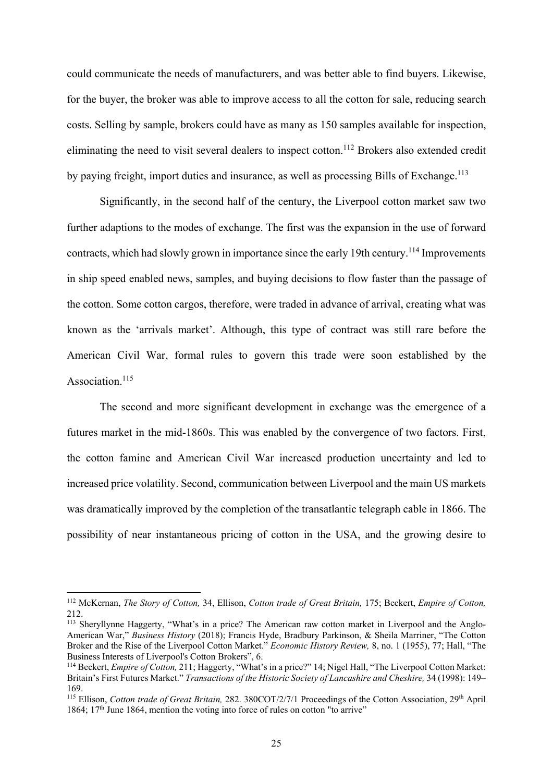could communicate the needs of manufacturers, and was better able to find buyers. Likewise, for the buyer, the broker was able to improve access to all the cotton for sale, reducing search costs. Selling by sample, brokers could have as many as 150 samples available for inspection, eliminating the need to visit several dealers to inspect cotton.<sup>112</sup> Brokers also extended credit by paying freight, import duties and insurance, as well as processing Bills of Exchange.<sup>113</sup>

Significantly, in the second half of the century, the Liverpool cotton market saw two further adaptions to the modes of exchange. The first was the expansion in the use of forward contracts, which had slowly grown in importance since the early 19th century.<sup>114</sup> Improvements in ship speed enabled news, samples, and buying decisions to flow faster than the passage of the cotton. Some cotton cargos, therefore, were traded in advance of arrival, creating what was known as the 'arrivals market'. Although, this type of contract was still rare before the American Civil War, formal rules to govern this trade were soon established by the Association.<sup>115</sup>

The second and more significant development in exchange was the emergence of a futures market in the mid-1860s. This was enabled by the convergence of two factors. First, the cotton famine and American Civil War increased production uncertainty and led to increased price volatility. Second, communication between Liverpool and the main US markets was dramatically improved by the completion of the transatlantic telegraph cable in 1866. The possibility of near instantaneous pricing of cotton in the USA, and the growing desire to

<sup>112</sup> McKernan, *The Story of Cotton,* 34, Ellison, *Cotton trade of Great Britain,* 175; Beckert, *Empire of Cotton,* 212.

<sup>&</sup>lt;sup>113</sup> Sheryllynne Haggerty, "What's in a price? The American raw cotton market in Liverpool and the Anglo-American War," *Business History* (2018); Francis Hyde, Bradbury Parkinson, & Sheila Marriner, "The Cotton Broker and the Rise of the Liverpool Cotton Market." *Economic History Review,* 8, no. 1 (1955), 77; Hall, "The Business Interests of Liverpool's Cotton Brokers", 6.

<sup>114</sup> Beckert, *Empire of Cotton,* 211; Haggerty, "What's in a price?" 14; Nigel Hall, "The Liverpool Cotton Market: Britain's First Futures Market." *Transactions of the Historic Society of Lancashire and Cheshire,* 34 (1998): 149– 169.

<sup>115</sup> Ellison, *Cotton trade of Great Britain,* 282. 380COT/2/7/1 Proceedings of the Cotton Association, 29th April 1864;  $17<sup>th</sup>$  June 1864, mention the voting into force of rules on cotton "to arrive"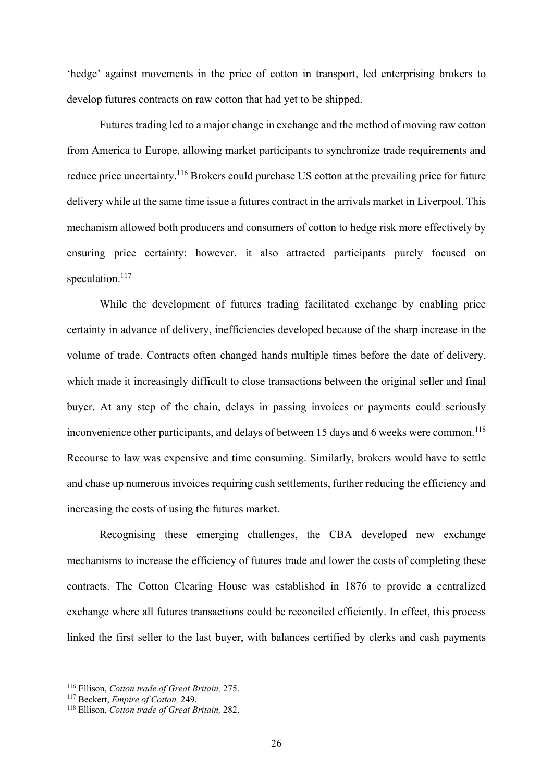'hedge' against movements in the price of cotton in transport, led enterprising brokers to develop futures contracts on raw cotton that had yet to be shipped.

Futures trading led to a major change in exchange and the method of moving raw cotton from America to Europe, allowing market participants to synchronize trade requirements and reduce price uncertainty.<sup>116</sup> Brokers could purchase US cotton at the prevailing price for future delivery while at the same time issue a futures contract in the arrivals market in Liverpool. This mechanism allowed both producers and consumers of cotton to hedge risk more effectively by ensuring price certainty; however, it also attracted participants purely focused on speculation.<sup>117</sup>

While the development of futures trading facilitated exchange by enabling price certainty in advance of delivery, inefficiencies developed because of the sharp increase in the volume of trade. Contracts often changed hands multiple times before the date of delivery, which made it increasingly difficult to close transactions between the original seller and final buyer. At any step of the chain, delays in passing invoices or payments could seriously inconvenience other participants, and delays of between 15 days and 6 weeks were common.<sup>118</sup> Recourse to law was expensive and time consuming. Similarly, brokers would have to settle and chase up numerous invoices requiring cash settlements, further reducing the efficiency and increasing the costs of using the futures market.

Recognising these emerging challenges, the CBA developed new exchange mechanisms to increase the efficiency of futures trade and lower the costs of completing these contracts. The Cotton Clearing House was established in 1876 to provide a centralized exchange where all futures transactions could be reconciled efficiently. In effect, this process linked the first seller to the last buyer, with balances certified by clerks and cash payments

<sup>116</sup> Ellison, *Cotton trade of Great Britain,* 275. 117 Beckert, *Empire of Cotton,* 249. 118 Ellison, *Cotton trade of Great Britain,* 282.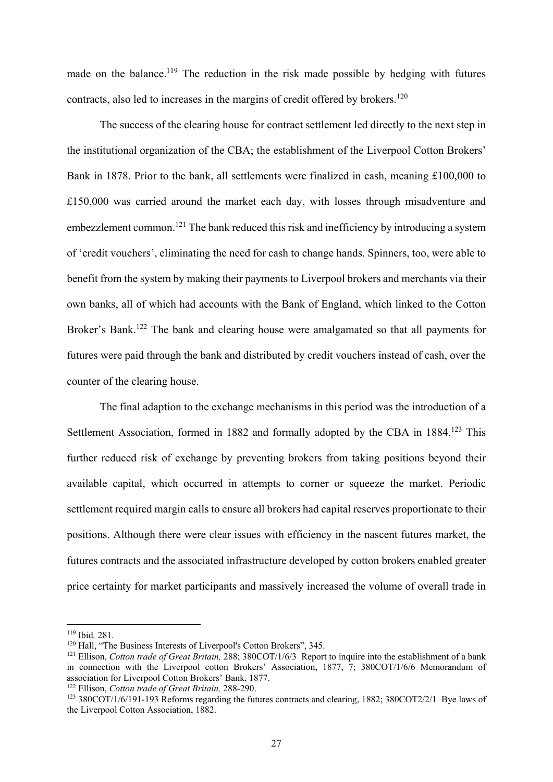made on the balance.<sup>119</sup> The reduction in the risk made possible by hedging with futures contracts, also led to increases in the margins of credit offered by brokers.<sup>120</sup>

The success of the clearing house for contract settlement led directly to the next step in the institutional organization of the CBA; the establishment of the Liverpool Cotton Brokers' Bank in 1878. Prior to the bank, all settlements were finalized in cash, meaning £100,000 to £150,000 was carried around the market each day, with losses through misadventure and embezzlement common.<sup>121</sup> The bank reduced this risk and inefficiency by introducing a system of 'credit vouchers', eliminating the need for cash to change hands. Spinners, too, were able to benefit from the system by making their payments to Liverpool brokers and merchants via their own banks, all of which had accounts with the Bank of England, which linked to the Cotton Broker's Bank.<sup>122</sup> The bank and clearing house were amalgamated so that all payments for futures were paid through the bank and distributed by credit vouchers instead of cash, over the counter of the clearing house.

The final adaption to the exchange mechanisms in this period was the introduction of a Settlement Association, formed in 1882 and formally adopted by the CBA in 1884.<sup>123</sup> This further reduced risk of exchange by preventing brokers from taking positions beyond their available capital, which occurred in attempts to corner or squeeze the market. Periodic settlement required margin calls to ensure all brokers had capital reserves proportionate to their positions. Although there were clear issues with efficiency in the nascent futures market, the futures contracts and the associated infrastructure developed by cotton brokers enabled greater price certainty for market participants and massively increased the volume of overall trade in

<sup>&</sup>lt;sup>119</sup> Ibid. 281.

<sup>&</sup>lt;sup>120</sup> Hall, "The Business Interests of Liverpool's Cotton Brokers", 345.<br><sup>121</sup> Ellison, *Cotton trade of Great Britain*, 288; 380COT/1/6/3 Report to inquire into the establishment of a bank in connection with the Liverpool cotton Brokers' Association, 1877, 7; 380COT/1/6/6 Memorandum of association for Liverpool Cotton Brokers' Bank, 1877.<br><sup>122</sup> Ellison. *Cotton trade of Great Britain*. 288-290.

<sup>&</sup>lt;sup>123</sup> 380COT/1/6/191-193 Reforms regarding the futures contracts and clearing, 1882; 380COT2/2/1 Bye laws of the Liverpool Cotton Association, 1882.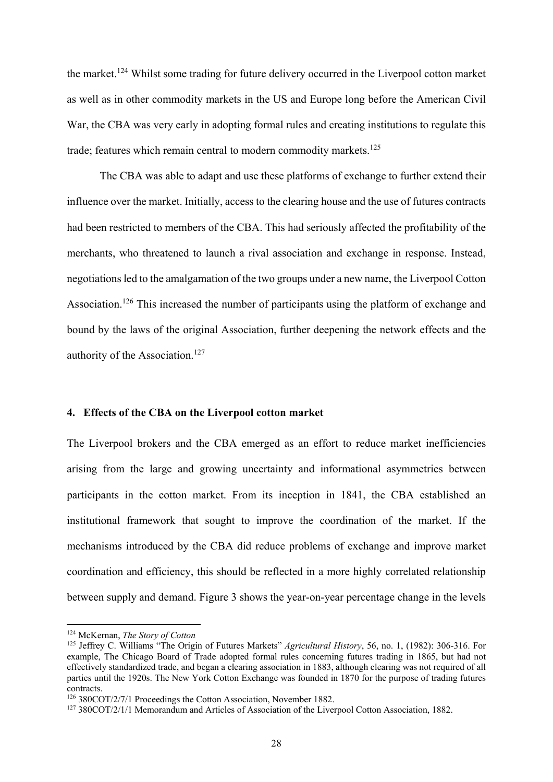the market.124 Whilst some trading for future delivery occurred in the Liverpool cotton market as well as in other commodity markets in the US and Europe long before the American Civil War, the CBA was very early in adopting formal rules and creating institutions to regulate this trade; features which remain central to modern commodity markets.<sup>125</sup>

The CBA was able to adapt and use these platforms of exchange to further extend their influence over the market. Initially, access to the clearing house and the use of futures contracts had been restricted to members of the CBA. This had seriously affected the profitability of the merchants, who threatened to launch a rival association and exchange in response. Instead, negotiations led to the amalgamation of the two groups under a new name, the Liverpool Cotton Association.<sup>126</sup> This increased the number of participants using the platform of exchange and bound by the laws of the original Association, further deepening the network effects and the authority of the Association.<sup>127</sup>

### **4. Effects of the CBA on the Liverpool cotton market**

The Liverpool brokers and the CBA emerged as an effort to reduce market inefficiencies arising from the large and growing uncertainty and informational asymmetries between participants in the cotton market. From its inception in 1841, the CBA established an institutional framework that sought to improve the coordination of the market. If the mechanisms introduced by the CBA did reduce problems of exchange and improve market coordination and efficiency, this should be reflected in a more highly correlated relationship between supply and demand. Figure 3 shows the year-on-year percentage change in the levels

<sup>124</sup> McKernan, *The Story of Cotton*

<sup>125</sup> Jeffrey C. Williams "The Origin of Futures Markets" *Agricultural History*, 56, no. 1, (1982): 306-316. For example, The Chicago Board of Trade adopted formal rules concerning futures trading in 1865, but had not effectively standardized trade, and began a clearing association in 1883, although clearing was not required of all parties until the 1920s. The New York Cotton Exchange was founded in 1870 for the purpose of trading futures contracts.

<sup>&</sup>lt;sup>126</sup> 380COT/2/7/1 Proceedings the Cotton Association, November 1882.<br><sup>127</sup> 380COT/2/1/1 Memorandum and Articles of Association of the Liverpool Cotton Association, 1882.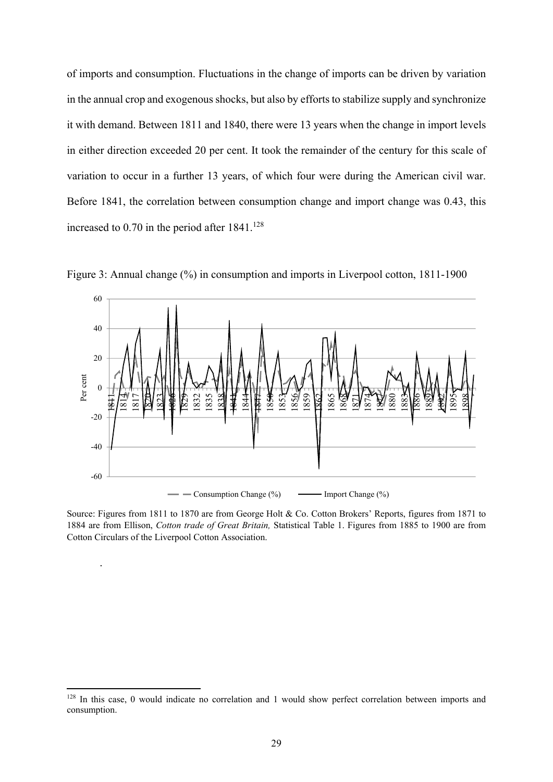of imports and consumption. Fluctuations in the change of imports can be driven by variation in the annual crop and exogenous shocks, but also by efforts to stabilize supply and synchronize it with demand. Between 1811 and 1840, there were 13 years when the change in import levels in either direction exceeded 20 per cent. It took the remainder of the century for this scale of variation to occur in a further 13 years, of which four were during the American civil war. Before 1841, the correlation between consumption change and import change was 0.43, this increased to  $0.70$  in the period after  $1841.^{128}$ 



Figure 3: Annual change (%) in consumption and imports in Liverpool cotton, 1811-1900

Source: Figures from 1811 to 1870 are from George Holt & Co. Cotton Brokers' Reports, figures from 1871 to 1884 are from Ellison, *Cotton trade of Great Britain,* Statistical Table 1. Figures from 1885 to 1900 are from Cotton Circulars of the Liverpool Cotton Association.

.

<sup>&</sup>lt;sup>128</sup> In this case, 0 would indicate no correlation and 1 would show perfect correlation between imports and consumption.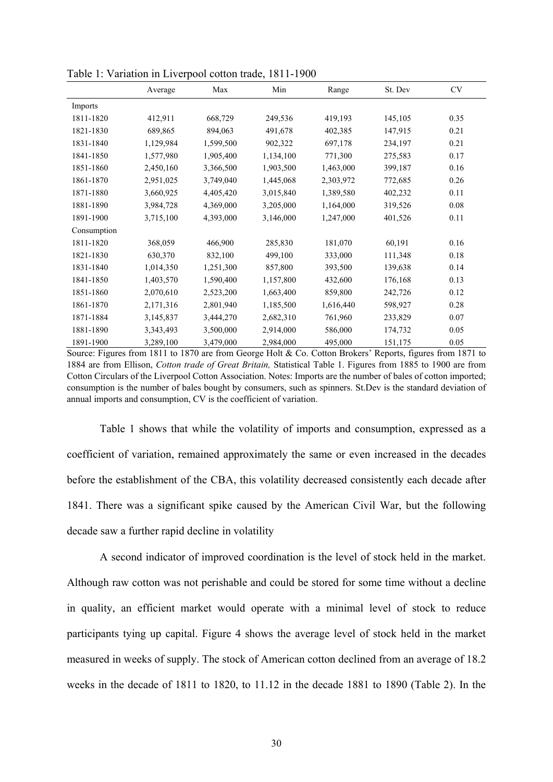|             | Average   | Max       | Min       | Range     | St. Dev | <b>CV</b> |
|-------------|-----------|-----------|-----------|-----------|---------|-----------|
| Imports     |           |           |           |           |         |           |
| 1811-1820   | 412,911   | 668,729   | 249,536   | 419,193   | 145,105 | 0.35      |
| 1821-1830   | 689,865   | 894,063   | 491,678   | 402,385   | 147,915 | 0.21      |
| 1831-1840   | 1,129,984 | 1,599,500 | 902,322   | 697,178   | 234,197 | 0.21      |
| 1841-1850   | 1,577,980 | 1,905,400 | 1,134,100 | 771,300   | 275,583 | 0.17      |
| 1851-1860   | 2,450,160 | 3,366,500 | 1,903,500 | 1,463,000 | 399,187 | 0.16      |
| 1861-1870   | 2,951,025 | 3,749,040 | 1,445,068 | 2,303,972 | 772,685 | 0.26      |
| 1871-1880   | 3,660,925 | 4,405,420 | 3,015,840 | 1,389,580 | 402,232 | 0.11      |
| 1881-1890   | 3,984,728 | 4,369,000 | 3,205,000 | 1,164,000 | 319,526 | 0.08      |
| 1891-1900   | 3,715,100 | 4,393,000 | 3,146,000 | 1,247,000 | 401,526 | 0.11      |
| Consumption |           |           |           |           |         |           |
| 1811-1820   | 368,059   | 466,900   | 285,830   | 181,070   | 60,191  | 0.16      |
| 1821-1830   | 630,370   | 832,100   | 499,100   | 333,000   | 111,348 | 0.18      |
| 1831-1840   | 1,014,350 | 1,251,300 | 857,800   | 393,500   | 139,638 | 0.14      |
| 1841-1850   | 1,403,570 | 1,590,400 | 1,157,800 | 432,600   | 176,168 | 0.13      |
| 1851-1860   | 2,070,610 | 2,523,200 | 1,663,400 | 859,800   | 242,726 | 0.12      |
| 1861-1870   | 2,171,316 | 2,801,940 | 1,185,500 | 1,616,440 | 598,927 | 0.28      |
| 1871-1884   | 3,145,837 | 3,444,270 | 2,682,310 | 761,960   | 233,829 | 0.07      |
| 1881-1890   | 3,343,493 | 3,500,000 | 2,914,000 | 586,000   | 174,732 | 0.05      |
| 1891-1900   | 3,289,100 | 3,479,000 | 2,984,000 | 495,000   | 151,175 | 0.05      |

Table 1: Variation in Liverpool cotton trade, 1811-1900

Source: Figures from 1811 to 1870 are from George Holt & Co. Cotton Brokers' Reports, figures from 1871 to 1884 are from Ellison, *Cotton trade of Great Britain,* Statistical Table 1. Figures from 1885 to 1900 are from Cotton Circulars of the Liverpool Cotton Association. Notes: Imports are the number of bales of cotton imported; consumption is the number of bales bought by consumers, such as spinners. St.Dev is the standard deviation of annual imports and consumption, CV is the coefficient of variation.

Table 1 shows that while the volatility of imports and consumption, expressed as a coefficient of variation, remained approximately the same or even increased in the decades before the establishment of the CBA, this volatility decreased consistently each decade after 1841. There was a significant spike caused by the American Civil War, but the following decade saw a further rapid decline in volatility

A second indicator of improved coordination is the level of stock held in the market. Although raw cotton was not perishable and could be stored for some time without a decline in quality, an efficient market would operate with a minimal level of stock to reduce participants tying up capital. Figure 4 shows the average level of stock held in the market measured in weeks of supply. The stock of American cotton declined from an average of 18.2 weeks in the decade of 1811 to 1820, to 11.12 in the decade 1881 to 1890 (Table 2). In the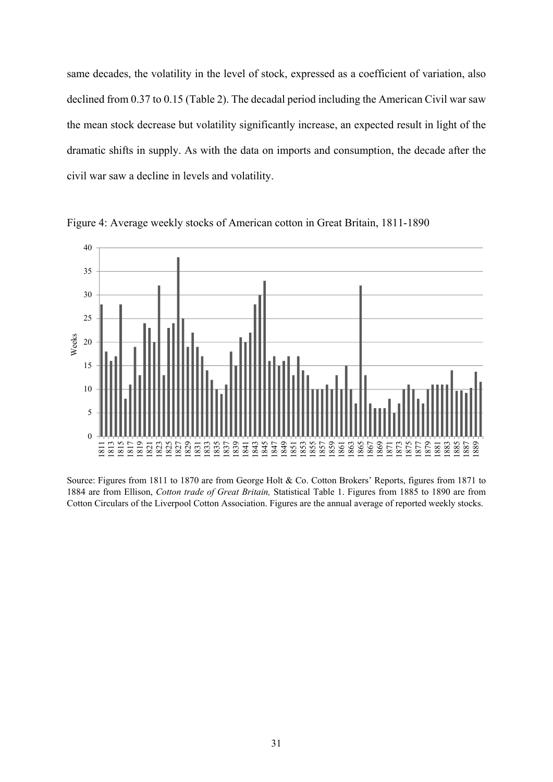same decades, the volatility in the level of stock, expressed as a coefficient of variation, also declined from 0.37 to 0.15 (Table 2). The decadal period including the American Civil war saw the mean stock decrease but volatility significantly increase, an expected result in light of the dramatic shifts in supply. As with the data on imports and consumption, the decade after the civil war saw a decline in levels and volatility.



Figure 4: Average weekly stocks of American cotton in Great Britain, 1811-1890

Source: Figures from 1811 to 1870 are from George Holt & Co. Cotton Brokers' Reports, figures from 1871 to 1884 are from Ellison, *Cotton trade of Great Britain,* Statistical Table 1. Figures from 1885 to 1890 are from Cotton Circulars of the Liverpool Cotton Association. Figures are the annual average of reported weekly stocks.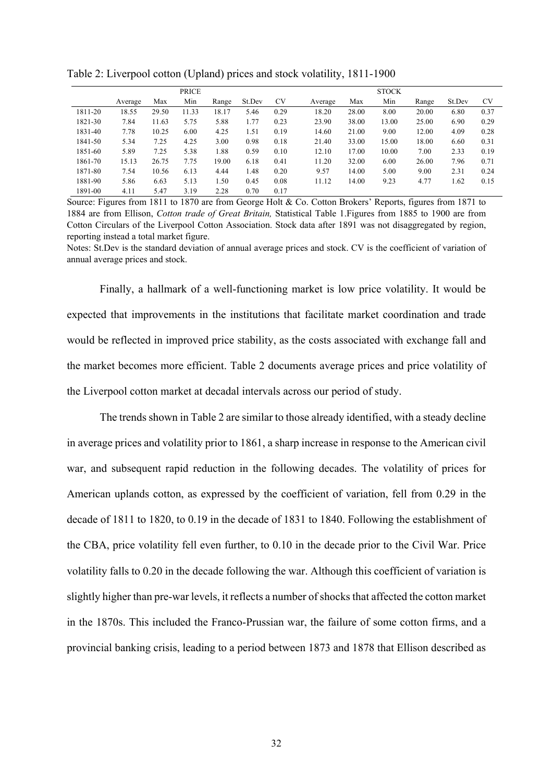|         | <b>PRICE</b> |       |       |       |        | <b>STOCK</b> |         |       |       |       |        |           |
|---------|--------------|-------|-------|-------|--------|--------------|---------|-------|-------|-------|--------|-----------|
|         | Average      | Max   | Min   | Range | St.Dev | <b>CV</b>    | Average | Max   | Min   | Range | St.Dev | <b>CV</b> |
| 1811-20 | 18.55        | 29.50 | 11.33 | 18.17 | 5.46   | 0.29         | 18.20   | 28.00 | 8.00  | 20.00 | 6.80   | 0.37      |
| 1821-30 | 7.84         | 11.63 | 5.75  | 5.88  | 1.77   | 0.23         | 23.90   | 38.00 | 13.00 | 25.00 | 6.90   | 0.29      |
| 1831-40 | 7.78         | 10.25 | 6.00  | 4.25  | 1.51   | 0.19         | 14.60   | 21.00 | 9.00  | 12.00 | 4.09   | 0.28      |
| 1841-50 | 5.34         | 7.25  | 4.25  | 3.00  | 0.98   | 0.18         | 21.40   | 33.00 | 15.00 | 18.00 | 6.60   | 0.31      |
| 1851-60 | 5.89         | 7.25  | 5.38  | 1.88  | 0.59   | 0.10         | 12.10   | 17.00 | 10.00 | 7.00  | 2.33   | 0.19      |
| 1861-70 | 15.13        | 26.75 | 7.75  | 19.00 | 6.18   | 0.41         | 11.20   | 32.00 | 6.00  | 26.00 | 7.96   | 0.71      |
| 1871-80 | 7.54         | 10.56 | 6.13  | 4.44  | 1.48   | 0.20         | 9.57    | 14.00 | 5.00  | 9.00  | 2.31   | 0.24      |
| 1881-90 | 5.86         | 6.63  | 5.13  | 1.50  | 0.45   | 0.08         | 11.12   | 14.00 | 9.23  | 4.77  | 1.62   | 0.15      |
| 1891-00 | 4.11         | 5.47  | 3.19  | 2.28  | 0.70   | 0.17         |         |       |       |       |        |           |

Table 2: Liverpool cotton (Upland) prices and stock volatility, 1811-1900

Source: Figures from 1811 to 1870 are from George Holt & Co. Cotton Brokers' Reports, figures from 1871 to 1884 are from Ellison, *Cotton trade of Great Britain,* Statistical Table 1.Figures from 1885 to 1900 are from Cotton Circulars of the Liverpool Cotton Association. Stock data after 1891 was not disaggregated by region, reporting instead a total market figure.

Notes: St.Dev is the standard deviation of annual average prices and stock. CV is the coefficient of variation of annual average prices and stock.

Finally, a hallmark of a well-functioning market is low price volatility. It would be expected that improvements in the institutions that facilitate market coordination and trade would be reflected in improved price stability, as the costs associated with exchange fall and the market becomes more efficient. Table 2 documents average prices and price volatility of the Liverpool cotton market at decadal intervals across our period of study.

The trends shown in Table 2 are similar to those already identified, with a steady decline in average prices and volatility prior to 1861, a sharp increase in response to the American civil war, and subsequent rapid reduction in the following decades. The volatility of prices for American uplands cotton, as expressed by the coefficient of variation, fell from 0.29 in the decade of 1811 to 1820, to 0.19 in the decade of 1831 to 1840. Following the establishment of the CBA, price volatility fell even further, to 0.10 in the decade prior to the Civil War. Price volatility falls to 0.20 in the decade following the war. Although this coefficient of variation is slightly higher than pre-war levels, it reflects a number of shocks that affected the cotton market in the 1870s. This included the Franco-Prussian war, the failure of some cotton firms, and a provincial banking crisis, leading to a period between 1873 and 1878 that Ellison described as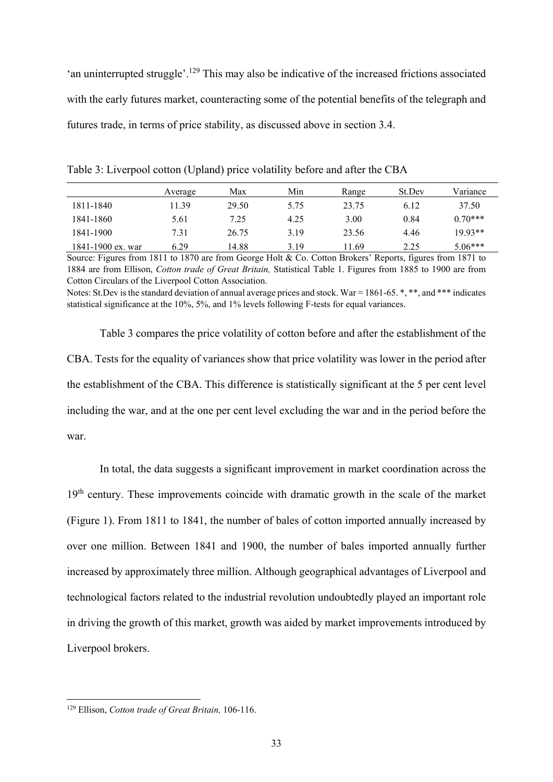'an uninterrupted struggle'.<sup>129</sup> This may also be indicative of the increased frictions associated with the early futures market, counteracting some of the potential benefits of the telegraph and futures trade, in terms of price stability, as discussed above in section 3.4.

|                   | Average | Max   | Min  | Range | St.Dev | Variance  |
|-------------------|---------|-------|------|-------|--------|-----------|
| 1811-1840         | 11.39   | 29.50 | 5.75 | 23.75 | 6.12   | 37.50     |
| 1841-1860         | 5.61    | 7.25  | 4.25 | 3.00  | 0.84   | $0.70***$ |
| 1841-1900         | 7.31    | 26.75 | 3.19 | 23.56 | 4.46   | $19.93**$ |
| 1841-1900 ex. war | 6.29    | 14.88 | 3.19 | 11.69 | 2.25   | $5.06***$ |

Table 3: Liverpool cotton (Upland) price volatility before and after the CBA

Source: Figures from 1811 to 1870 are from George Holt & Co. Cotton Brokers' Reports, figures from 1871 to 1884 are from Ellison, *Cotton trade of Great Britain,* Statistical Table 1. Figures from 1885 to 1900 are from Cotton Circulars of the Liverpool Cotton Association.

Notes: St.Dev is the standard deviation of annual average prices and stock. War =  $1861-65$ . \*, \*\*, and \*\*\* indicates statistical significance at the 10%, 5%, and 1% levels following F-tests for equal variances.

Table 3 compares the price volatility of cotton before and after the establishment of the CBA. Tests for the equality of variances show that price volatility was lower in the period after the establishment of the CBA. This difference is statistically significant at the 5 per cent level including the war, and at the one per cent level excluding the war and in the period before the war.

In total, the data suggests a significant improvement in market coordination across the 19<sup>th</sup> century. These improvements coincide with dramatic growth in the scale of the market (Figure 1). From 1811 to 1841, the number of bales of cotton imported annually increased by over one million. Between 1841 and 1900, the number of bales imported annually further increased by approximately three million. Although geographical advantages of Liverpool and technological factors related to the industrial revolution undoubtedly played an important role in driving the growth of this market, growth was aided by market improvements introduced by Liverpool brokers.

<sup>129</sup> Ellison, *Cotton trade of Great Britain,* 106-116.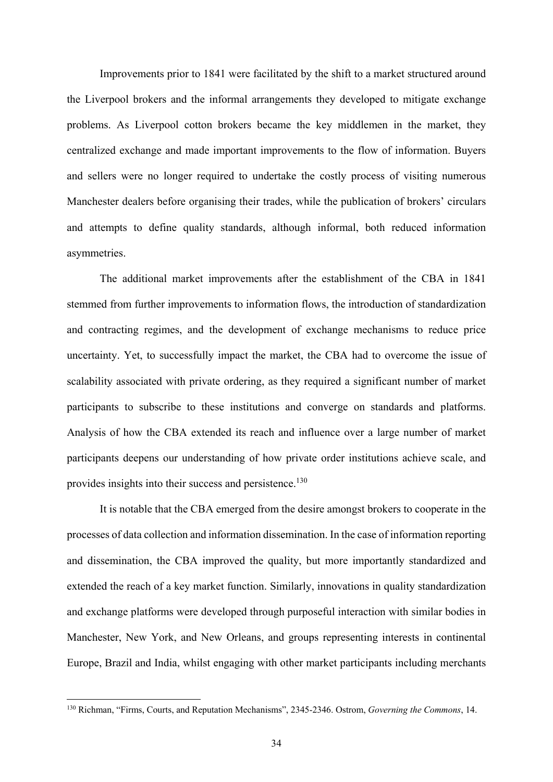Improvements prior to 1841 were facilitated by the shift to a market structured around the Liverpool brokers and the informal arrangements they developed to mitigate exchange problems. As Liverpool cotton brokers became the key middlemen in the market, they centralized exchange and made important improvements to the flow of information. Buyers and sellers were no longer required to undertake the costly process of visiting numerous Manchester dealers before organising their trades, while the publication of brokers' circulars and attempts to define quality standards, although informal, both reduced information asymmetries.

The additional market improvements after the establishment of the CBA in 1841 stemmed from further improvements to information flows, the introduction of standardization and contracting regimes, and the development of exchange mechanisms to reduce price uncertainty. Yet, to successfully impact the market, the CBA had to overcome the issue of scalability associated with private ordering, as they required a significant number of market participants to subscribe to these institutions and converge on standards and platforms. Analysis of how the CBA extended its reach and influence over a large number of market participants deepens our understanding of how private order institutions achieve scale, and provides insights into their success and persistence.<sup>130</sup>

It is notable that the CBA emerged from the desire amongst brokers to cooperate in the processes of data collection and information dissemination. In the case of information reporting and dissemination, the CBA improved the quality, but more importantly standardized and extended the reach of a key market function. Similarly, innovations in quality standardization and exchange platforms were developed through purposeful interaction with similar bodies in Manchester, New York, and New Orleans, and groups representing interests in continental Europe, Brazil and India, whilst engaging with other market participants including merchants

<sup>130</sup> Richman, "Firms, Courts, and Reputation Mechanisms", 2345-2346. Ostrom, *Governing the Commons*, 14.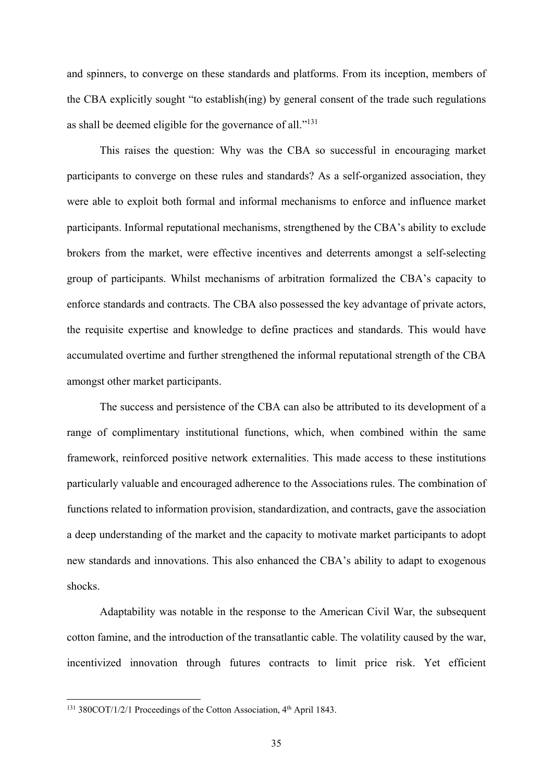and spinners, to converge on these standards and platforms. From its inception, members of the CBA explicitly sought "to establish(ing) by general consent of the trade such regulations as shall be deemed eligible for the governance of all."131

This raises the question: Why was the CBA so successful in encouraging market participants to converge on these rules and standards? As a self-organized association, they were able to exploit both formal and informal mechanisms to enforce and influence market participants. Informal reputational mechanisms, strengthened by the CBA's ability to exclude brokers from the market, were effective incentives and deterrents amongst a self-selecting group of participants. Whilst mechanisms of arbitration formalized the CBA's capacity to enforce standards and contracts. The CBA also possessed the key advantage of private actors, the requisite expertise and knowledge to define practices and standards. This would have accumulated overtime and further strengthened the informal reputational strength of the CBA amongst other market participants.

The success and persistence of the CBA can also be attributed to its development of a range of complimentary institutional functions, which, when combined within the same framework, reinforced positive network externalities. This made access to these institutions particularly valuable and encouraged adherence to the Associations rules. The combination of functions related to information provision, standardization, and contracts, gave the association a deep understanding of the market and the capacity to motivate market participants to adopt new standards and innovations. This also enhanced the CBA's ability to adapt to exogenous shocks.

Adaptability was notable in the response to the American Civil War, the subsequent cotton famine, and the introduction of the transatlantic cable. The volatility caused by the war, incentivized innovation through futures contracts to limit price risk. Yet efficient

<sup>&</sup>lt;sup>131</sup> 380COT/1/2/1 Proceedings of the Cotton Association, 4<sup>th</sup> April 1843.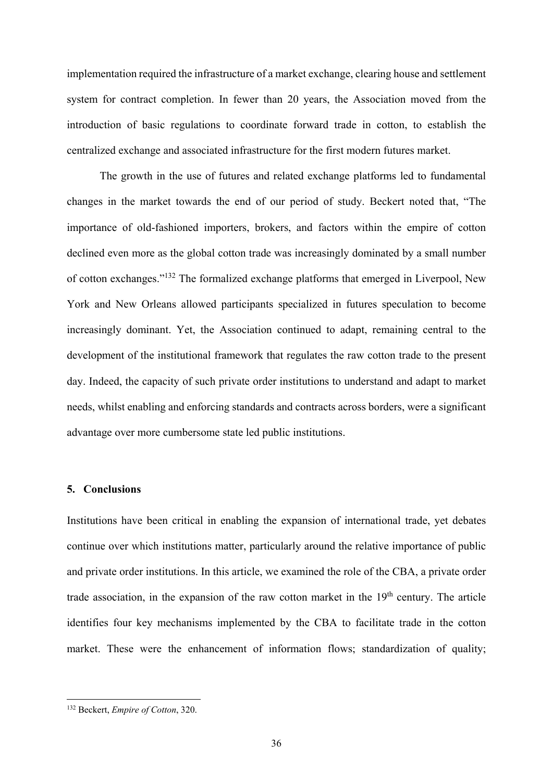implementation required the infrastructure of a market exchange, clearing house and settlement system for contract completion. In fewer than 20 years, the Association moved from the introduction of basic regulations to coordinate forward trade in cotton, to establish the centralized exchange and associated infrastructure for the first modern futures market.

The growth in the use of futures and related exchange platforms led to fundamental changes in the market towards the end of our period of study. Beckert noted that, "The importance of old-fashioned importers, brokers, and factors within the empire of cotton declined even more as the global cotton trade was increasingly dominated by a small number of cotton exchanges."132 The formalized exchange platforms that emerged in Liverpool, New York and New Orleans allowed participants specialized in futures speculation to become increasingly dominant. Yet, the Association continued to adapt, remaining central to the development of the institutional framework that regulates the raw cotton trade to the present day. Indeed, the capacity of such private order institutions to understand and adapt to market needs, whilst enabling and enforcing standards and contracts across borders, were a significant advantage over more cumbersome state led public institutions.

### **5. Conclusions**

Institutions have been critical in enabling the expansion of international trade, yet debates continue over which institutions matter, particularly around the relative importance of public and private order institutions. In this article, we examined the role of the CBA, a private order trade association, in the expansion of the raw cotton market in the  $19<sup>th</sup>$  century. The article identifies four key mechanisms implemented by the CBA to facilitate trade in the cotton market. These were the enhancement of information flows; standardization of quality;

<sup>132</sup> Beckert, *Empire of Cotton*, 320.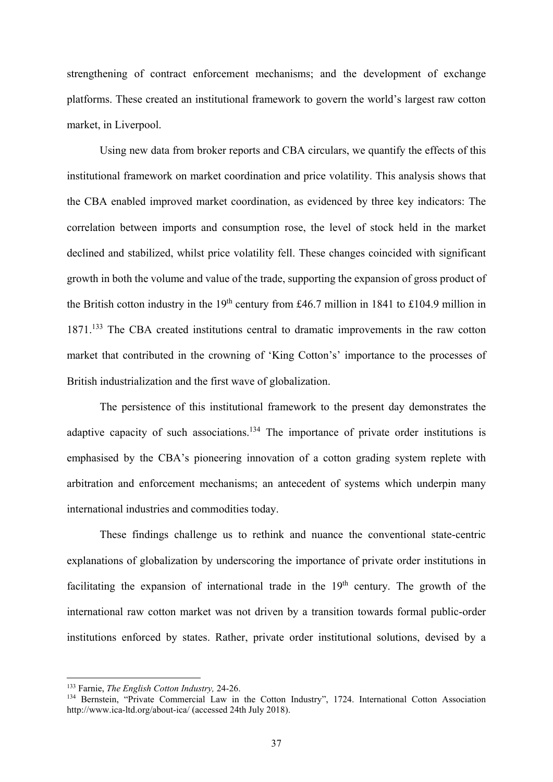strengthening of contract enforcement mechanisms; and the development of exchange platforms. These created an institutional framework to govern the world's largest raw cotton market, in Liverpool.

Using new data from broker reports and CBA circulars, we quantify the effects of this institutional framework on market coordination and price volatility. This analysis shows that the CBA enabled improved market coordination, as evidenced by three key indicators: The correlation between imports and consumption rose, the level of stock held in the market declined and stabilized, whilst price volatility fell. These changes coincided with significant growth in both the volume and value of the trade, supporting the expansion of gross product of the British cotton industry in the  $19<sup>th</sup>$  century from £46.7 million in 1841 to £104.9 million in 1871.<sup>133</sup> The CBA created institutions central to dramatic improvements in the raw cotton market that contributed in the crowning of 'King Cotton's' importance to the processes of British industrialization and the first wave of globalization.

The persistence of this institutional framework to the present day demonstrates the adaptive capacity of such associations.<sup>134</sup> The importance of private order institutions is emphasised by the CBA's pioneering innovation of a cotton grading system replete with arbitration and enforcement mechanisms; an antecedent of systems which underpin many international industries and commodities today.

These findings challenge us to rethink and nuance the conventional state-centric explanations of globalization by underscoring the importance of private order institutions in facilitating the expansion of international trade in the  $19<sup>th</sup>$  century. The growth of the international raw cotton market was not driven by a transition towards formal public-order institutions enforced by states. Rather, private order institutional solutions, devised by a

<sup>&</sup>lt;sup>133</sup> Farnie, *The English Cotton Industry*, 24-26.<br><sup>134</sup> Bernstein, "Private Commercial Law in the Cotton Industry", 1724. International Cotton Association http://www.ica-ltd.org/about-ica/ (accessed 24th July 2018).